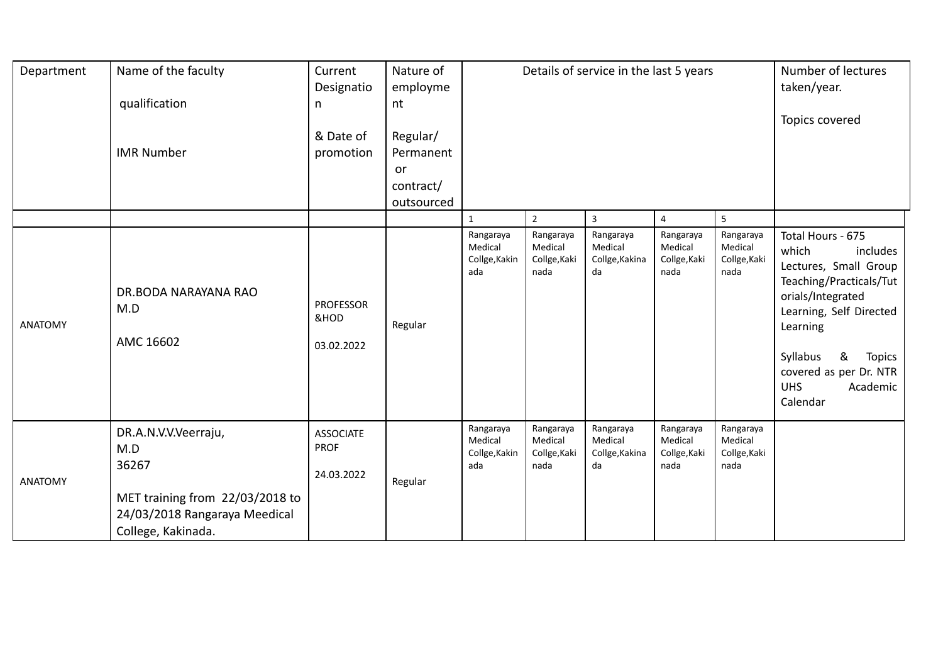| Department     | Name of the faculty                                                                                                            | Current<br>Designatio                         | Nature of<br>employme         |                                              |                                              | Details of service in the last 5 years       |                                              |                                              | Number of lectures<br>taken/year.                                                                                                                                                                                                                        |
|----------------|--------------------------------------------------------------------------------------------------------------------------------|-----------------------------------------------|-------------------------------|----------------------------------------------|----------------------------------------------|----------------------------------------------|----------------------------------------------|----------------------------------------------|----------------------------------------------------------------------------------------------------------------------------------------------------------------------------------------------------------------------------------------------------------|
|                | qualification                                                                                                                  | n                                             | nt                            |                                              |                                              |                                              |                                              |                                              | Topics covered                                                                                                                                                                                                                                           |
|                | <b>IMR Number</b>                                                                                                              | & Date of<br>promotion                        | Regular/<br>Permanent         |                                              |                                              |                                              |                                              |                                              |                                                                                                                                                                                                                                                          |
|                |                                                                                                                                |                                               | or<br>contract/<br>outsourced |                                              |                                              |                                              |                                              |                                              |                                                                                                                                                                                                                                                          |
|                |                                                                                                                                |                                               |                               | $\mathbf{1}$                                 | $\overline{2}$                               | $\overline{3}$                               | $\overline{4}$                               | 5                                            |                                                                                                                                                                                                                                                          |
| <b>ANATOMY</b> | DR.BODA NARAYANA RAO<br>M.D<br>AMC 16602                                                                                       | <b>PROFESSOR</b><br>&HOD<br>03.02.2022        | Regular                       | Rangaraya<br>Medical<br>Collge, Kakin<br>ada | Rangaraya<br>Medical<br>Collge, Kaki<br>nada | Rangaraya<br>Medical<br>Collge, Kakina<br>da | Rangaraya<br>Medical<br>Collge, Kaki<br>nada | Rangaraya<br>Medical<br>Collge, Kaki<br>nada | Total Hours - 675<br>which<br>includes<br>Lectures, Small Group<br>Teaching/Practicals/Tut<br>orials/Integrated<br>Learning, Self Directed<br>Learning<br>Syllabus<br>&<br><b>Topics</b><br>covered as per Dr. NTR<br><b>UHS</b><br>Academic<br>Calendar |
| <b>ANATOMY</b> | DR.A.N.V.V.Veerraju,<br>M.D<br>36267<br>MET training from 22/03/2018 to<br>24/03/2018 Rangaraya Meedical<br>College, Kakinada. | <b>ASSOCIATE</b><br><b>PROF</b><br>24.03.2022 | Regular                       | Rangaraya<br>Medical<br>Collge, Kakin<br>ada | Rangaraya<br>Medical<br>Collge, Kaki<br>nada | Rangaraya<br>Medical<br>Collge, Kakina<br>da | Rangaraya<br>Medical<br>Collge, Kaki<br>nada | Rangaraya<br>Medical<br>Collge, Kaki<br>nada |                                                                                                                                                                                                                                                          |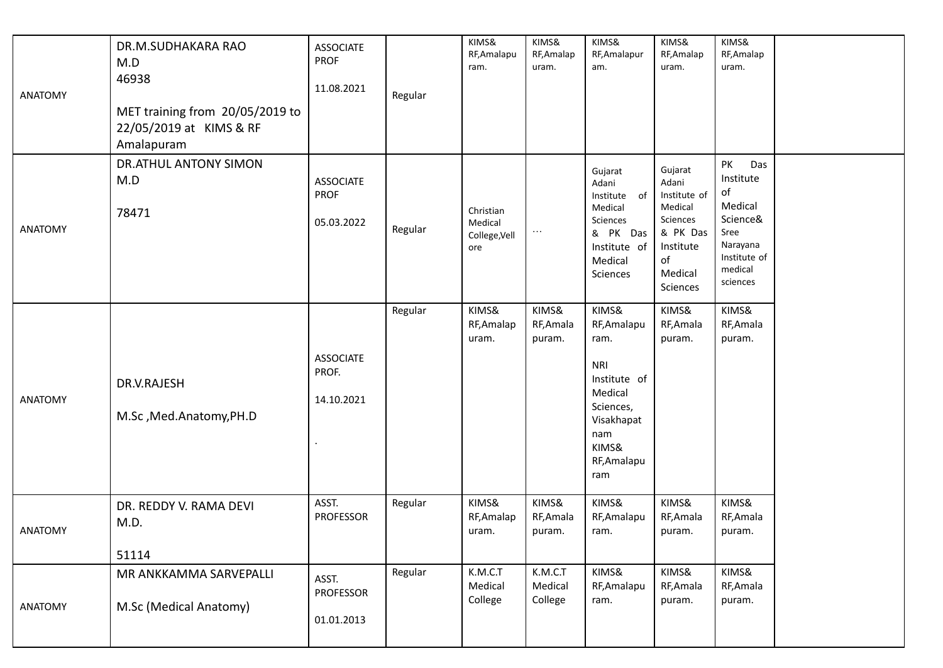| <b>ANATOMY</b> | DR.M.SUDHAKARA RAO<br>M.D<br>46938<br>MET training from 20/05/2019 to<br>22/05/2019 at KIMS & RF<br>Amalapuram | <b>ASSOCIATE</b><br><b>PROF</b><br>11.08.2021 | Regular | KIMS&<br>RF, Amalapu<br>ram.                 | KIMS&<br>RF, Amalap<br>uram.  | KIMS&<br>RF, Amalapur<br>am.                                                                                                           | KIMS&<br>RF, Amalap<br>uram.                                                                                  | KIMS&<br>RF, Amalap<br>uram.                                                                                   |  |
|----------------|----------------------------------------------------------------------------------------------------------------|-----------------------------------------------|---------|----------------------------------------------|-------------------------------|----------------------------------------------------------------------------------------------------------------------------------------|---------------------------------------------------------------------------------------------------------------|----------------------------------------------------------------------------------------------------------------|--|
| <b>ANATOMY</b> | DR.ATHUL ANTONY SIMON<br>M.D<br>78471                                                                          | <b>ASSOCIATE</b><br><b>PROF</b><br>05.03.2022 | Regular | Christian<br>Medical<br>College, Vell<br>ore | $\ldots$                      | Gujarat<br>Adani<br>Institute of<br>Medical<br>Sciences<br>& PK Das<br>Institute of<br>Medical<br>Sciences                             | Gujarat<br>Adani<br>Institute of<br>Medical<br>Sciences<br>& PK Das<br>Institute<br>of<br>Medical<br>Sciences | PK<br>Das<br>Institute<br>of<br>Medical<br>Science&<br>Sree<br>Narayana<br>Institute of<br>medical<br>sciences |  |
| <b>ANATOMY</b> | DR.V.RAJESH<br>M.Sc, Med.Anatomy, PH.D                                                                         | <b>ASSOCIATE</b><br>PROF.<br>14.10.2021       | Regular | KIMS&<br>RF, Amalap<br>uram.                 | KIMS&<br>RF, Amala<br>puram.  | KIMS&<br>RF, Amalapu<br>ram.<br><b>NRI</b><br>Institute of<br>Medical<br>Sciences,<br>Visakhapat<br>nam<br>KIMS&<br>RF, Amalapu<br>ram | KIMS&<br>RF, Amala<br>puram.                                                                                  | KIMS&<br>RF, Amala<br>puram.                                                                                   |  |
| <b>ANATOMY</b> | DR. REDDY V. RAMA DEVI<br>M.D.<br>51114                                                                        | ASST.<br><b>PROFESSOR</b>                     | Regular | KIMS&<br>RF, Amalap<br>uram.                 | KIMS&<br>RF, Amala<br>puram.  | KIMS&<br>RF, Amalapu<br>ram.                                                                                                           | KIMS&<br>RF, Amala<br>puram.                                                                                  | KIMS&<br>RF, Amala<br>puram.                                                                                   |  |
| <b>ANATOMY</b> | MR ANKKAMMA SARVEPALLI<br>M.Sc (Medical Anatomy)                                                               | ASST.<br><b>PROFESSOR</b><br>01.01.2013       | Regular | K.M.C.T<br>Medical<br>College                | K.M.C.T<br>Medical<br>College | KIMS&<br>RF, Amalapu<br>ram.                                                                                                           | KIMS&<br>RF, Amala<br>puram.                                                                                  | KIMS&<br>RF, Amala<br>puram.                                                                                   |  |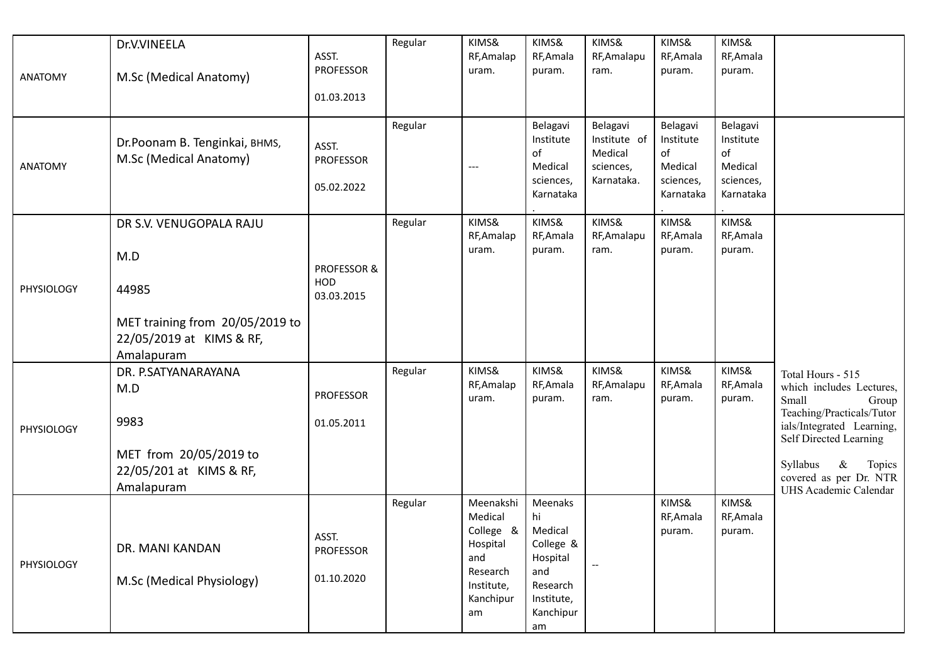|                | Dr.V.VINEELA                                                    | ASST.                            | Regular | KIMS&<br>RF, Amalap                       | KIMS&<br>RF, Amala                                               | KIMS&<br>RF, Amalapu                                           | KIMS&<br>RF, Amala                                               | KIMS&<br>RF, Amala                                               |                                                                                  |
|----------------|-----------------------------------------------------------------|----------------------------------|---------|-------------------------------------------|------------------------------------------------------------------|----------------------------------------------------------------|------------------------------------------------------------------|------------------------------------------------------------------|----------------------------------------------------------------------------------|
| <b>ANATOMY</b> | M.Sc (Medical Anatomy)                                          | PROFESSOR                        |         | uram.                                     | puram.                                                           | ram.                                                           | puram.                                                           | puram.                                                           |                                                                                  |
|                |                                                                 | 01.03.2013                       |         |                                           |                                                                  |                                                                |                                                                  |                                                                  |                                                                                  |
| <b>ANATOMY</b> | Dr.Poonam B. Tenginkai, BHMS,<br>M.Sc (Medical Anatomy)         | ASST.<br>PROFESSOR<br>05.02.2022 | Regular | $---$                                     | Belagavi<br>Institute<br>of<br>Medical<br>sciences,<br>Karnataka | Belagavi<br>Institute of<br>Medical<br>sciences,<br>Karnataka. | Belagavi<br>Institute<br>of<br>Medical<br>sciences,<br>Karnataka | Belagavi<br>Institute<br>of<br>Medical<br>sciences,<br>Karnataka |                                                                                  |
|                | DR S.V. VENUGOPALA RAJU                                         |                                  | Regular | KIMS&<br>RF, Amalap                       | KIMS&<br>RF, Amala                                               | KIMS&<br>RF, Amalapu                                           | KIMS&<br>RF, Amala                                               | KIMS&<br>RF, Amala                                               |                                                                                  |
|                | M.D                                                             |                                  |         | uram.                                     | puram.                                                           | ram.                                                           | puram.                                                           | puram.                                                           |                                                                                  |
| PHYSIOLOGY     | 44985                                                           | PROFESSOR &<br>HOD<br>03.03.2015 |         |                                           |                                                                  |                                                                |                                                                  |                                                                  |                                                                                  |
|                | MET training from 20/05/2019 to<br>22/05/2019 at KIMS & RF,     |                                  |         |                                           |                                                                  |                                                                |                                                                  |                                                                  |                                                                                  |
|                | Amalapuram                                                      |                                  | Regular | KIMS&                                     | KIMS&                                                            | KIMS&                                                          | KIMS&                                                            | KIMS&                                                            |                                                                                  |
|                | DR. P.SATYANARAYANA<br>M.D                                      | PROFESSOR                        |         | RF, Amalap<br>uram.                       | RF, Amala<br>puram.                                              | RF, Amalapu<br>ram.                                            | RF, Amala<br>puram.                                              | RF, Amala<br>puram.                                              | Total Hours - 515<br>which includes Lectures,<br>Small<br>Group                  |
| PHYSIOLOGY     | 9983                                                            | 01.05.2011                       |         |                                           |                                                                  |                                                                |                                                                  |                                                                  | Teaching/Practicals/Tutor<br>ials/Integrated Learning,<br>Self Directed Learning |
|                | MET from 20/05/2019 to<br>22/05/201 at KIMS & RF,<br>Amalapuram |                                  |         |                                           |                                                                  |                                                                |                                                                  |                                                                  | Syllabus<br>$\&$<br>Topics<br>covered as per Dr. NTR<br>UHS Academic Calendar    |
|                |                                                                 | ASST.                            | Regular | Meenakshi<br>Medical<br>College &         | Meenaks<br>hi<br>Medical                                         |                                                                | KIMS&<br>RF, Amala<br>puram.                                     | KIMS&<br>RF, Amala<br>puram.                                     |                                                                                  |
|                | DR. MANI KANDAN                                                 | <b>PROFESSOR</b>                 |         | Hospital<br>and                           | College &<br>Hospital                                            |                                                                |                                                                  |                                                                  |                                                                                  |
| PHYSIOLOGY     | M.Sc (Medical Physiology)                                       | 01.10.2020                       |         | Research<br>Institute,<br>Kanchipur<br>am | and<br>Research<br>Institute,<br>Kanchipur<br>am                 |                                                                |                                                                  |                                                                  |                                                                                  |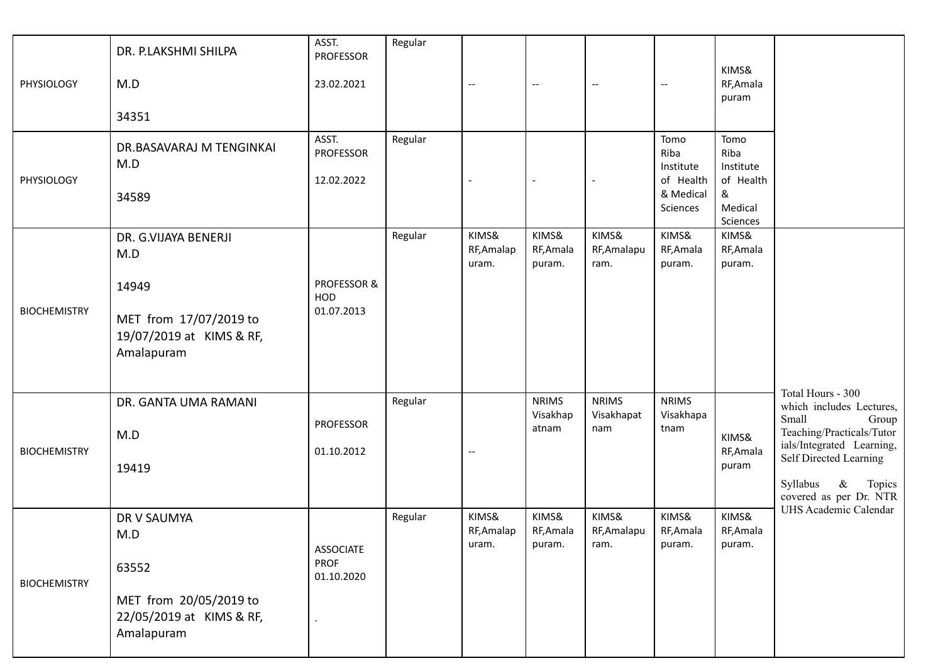| PHYSIOLOGY          | DR. P.LAKSHMI SHILPA<br>M.D<br>34351                                                                     | ASST.<br><b>PROFESSOR</b><br>23.02.2021       | Regular | $\qquad \qquad -$            | $-\!$                             | $\hspace{0.05cm} \dashrightarrow$ | $-\!$ –                                                         | KIMS&<br>RF, Amala<br>puram                                        |                                                                                                                                                                                                                                      |
|---------------------|----------------------------------------------------------------------------------------------------------|-----------------------------------------------|---------|------------------------------|-----------------------------------|-----------------------------------|-----------------------------------------------------------------|--------------------------------------------------------------------|--------------------------------------------------------------------------------------------------------------------------------------------------------------------------------------------------------------------------------------|
| PHYSIOLOGY          | DR.BASAVARAJ M TENGINKAI<br>M.D<br>34589                                                                 | ASST.<br><b>PROFESSOR</b><br>12.02.2022       | Regular |                              |                                   | $\overline{a}$                    | Tomo<br>Riba<br>Institute<br>of Health<br>& Medical<br>Sciences | Tomo<br>Riba<br>Institute<br>of Health<br>&<br>Medical<br>Sciences |                                                                                                                                                                                                                                      |
| <b>BIOCHEMISTRY</b> | DR. G.VIJAYA BENERJI<br>M.D<br>14949<br>MET from 17/07/2019 to<br>19/07/2019 at KIMS & RF,<br>Amalapuram | PROFESSOR &<br>HOD<br>01.07.2013              | Regular | KIMS&<br>RF, Amalap<br>uram. | KIMS&<br>RF, Amala<br>puram.      | KIMS&<br>RF, Amalapu<br>ram.      | KIMS&<br>RF, Amala<br>puram.                                    | KIMS&<br>RF, Amala<br>puram.                                       |                                                                                                                                                                                                                                      |
| <b>BIOCHEMISTRY</b> | DR. GANTA UMA RAMANI<br>M.D<br>19419                                                                     | <b>PROFESSOR</b><br>01.10.2012                | Regular | $\qquad \qquad -$            | <b>NRIMS</b><br>Visakhap<br>atnam | <b>NRIMS</b><br>Visakhapat<br>nam | <b>NRIMS</b><br>Visakhapa<br>tnam                               | KIMS&<br>RF, Amala<br>puram                                        | Total Hours - 300<br>which includes Lectures,<br>Small<br>Group<br>Teaching/Practicals/Tutor<br>ials/Integrated Learning,<br>Self Directed Learning<br>Syllabus<br>$\&$<br>Topics<br>covered as per Dr. NTR<br>UHS Academic Calendar |
| <b>BIOCHEMISTRY</b> | DR V SAUMYA<br>M.D<br>63552<br>MET from 20/05/2019 to<br>22/05/2019 at KIMS & RF,<br>Amalapuram          | <b>ASSOCIATE</b><br><b>PROF</b><br>01.10.2020 | Regular | KIMS&<br>RF, Amalap<br>uram. | KIMS&<br>RF, Amala<br>puram.      | KIMS&<br>RF, Amalapu<br>ram.      | KIMS&<br>RF, Amala<br>puram.                                    | KIMS&<br>RF, Amala<br>puram.                                       |                                                                                                                                                                                                                                      |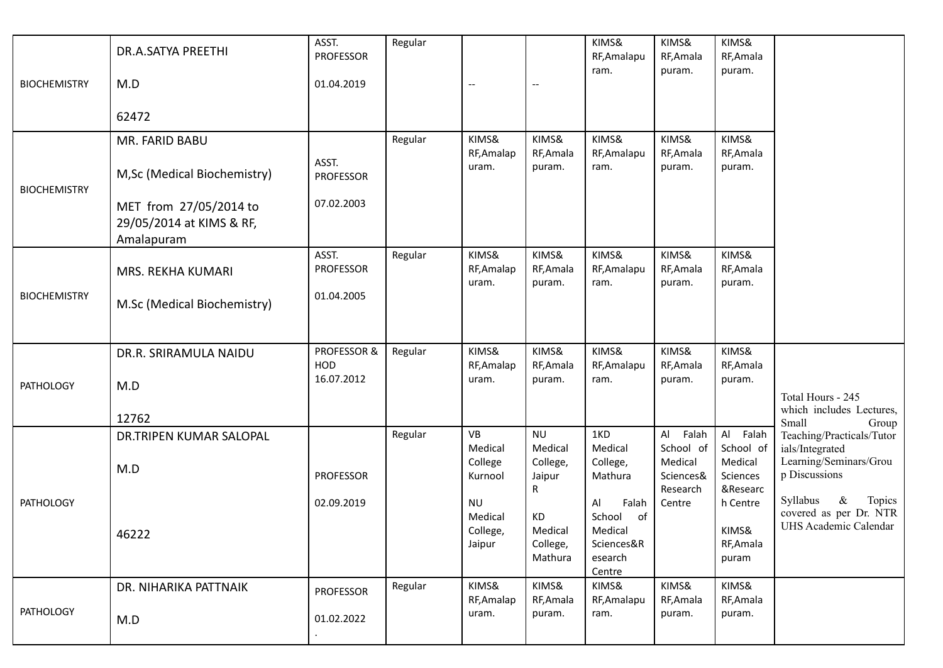| <b>BIOCHEMISTRY</b> | DR.A.SATYA PREETHI<br>M.D                                        | ASST.<br><b>PROFESSOR</b><br>01.04.2019 | Regular | $\overline{\phantom{m}}$                   |                                                 | KIMS&<br>RF, Amalapu<br>ram.                                              | KIMS&<br>RF, Amala<br>puram.                                 | KIMS&<br>RF, Amala<br>puram.                             |                                                                                         |
|---------------------|------------------------------------------------------------------|-----------------------------------------|---------|--------------------------------------------|-------------------------------------------------|---------------------------------------------------------------------------|--------------------------------------------------------------|----------------------------------------------------------|-----------------------------------------------------------------------------------------|
|                     | 62472                                                            |                                         |         |                                            |                                                 |                                                                           |                                                              |                                                          |                                                                                         |
| <b>BIOCHEMISTRY</b> | MR. FARID BABU<br>M, Sc (Medical Biochemistry)                   | ASST.<br><b>PROFESSOR</b>               | Regular | KIMS&<br>RF, Amalap<br>uram.               | KIMS&<br>RF, Amala<br>puram.                    | KIMS&<br>RF, Amalapu<br>ram.                                              | KIMS&<br>RF, Amala<br>puram.                                 | KIMS&<br>RF, Amala<br>puram.                             |                                                                                         |
|                     | MET from 27/05/2014 to<br>29/05/2014 at KIMS & RF,<br>Amalapuram | 07.02.2003                              |         |                                            |                                                 |                                                                           |                                                              |                                                          |                                                                                         |
| <b>BIOCHEMISTRY</b> | MRS. REKHA KUMARI                                                | ASST.<br><b>PROFESSOR</b><br>01.04.2005 | Regular | KIMS&<br>RF, Amalap<br>uram.               | KIMS&<br>RF, Amala<br>puram.                    | KIMS&<br>RF, Amalapu<br>ram.                                              | KIMS&<br>RF, Amala<br>puram.                                 | KIMS&<br>RF, Amala<br>puram.                             |                                                                                         |
|                     | M.Sc (Medical Biochemistry)                                      |                                         |         |                                            |                                                 |                                                                           |                                                              |                                                          |                                                                                         |
| <b>PATHOLOGY</b>    | DR.R. SRIRAMULA NAIDU<br>M.D                                     | PROFESSOR &<br><b>HOD</b><br>16.07.2012 | Regular | KIMS&<br>RF, Amalap<br>uram.               | KIMS&<br>RF, Amala<br>puram.                    | KIMS&<br>RF, Amalapu<br>ram.                                              | KIMS&<br>RF, Amala<br>puram.                                 | KIMS&<br>RF, Amala<br>puram.                             |                                                                                         |
|                     | 12762                                                            |                                         |         |                                            |                                                 |                                                                           |                                                              |                                                          | Total Hours - 245<br>which includes Lectures,<br>Small<br>Group                         |
|                     | DR.TRIPEN KUMAR SALOPAL<br>M.D                                   | <b>PROFESSOR</b>                        | Regular | VB<br>Medical<br>College<br>Kurnool        | <b>NU</b><br>Medical<br>College,<br>Jaipur<br>R | 1KD<br>Medical<br>College,<br>Mathura                                     | AI<br>Falah<br>School of<br>Medical<br>Sciences&<br>Research | Al Falah<br>School of<br>Medical<br>Sciences<br>&Researc | Teaching/Practicals/Tutor<br>ials/Integrated<br>Learning/Seminars/Grou<br>p Discussions |
| <b>PATHOLOGY</b>    | 46222                                                            | 02.09.2019                              |         | <b>NU</b><br>Medical<br>College,<br>Jaipur | КD<br>Medical<br>College,<br>Mathura            | Al<br>Falah<br>School<br>of<br>Medical<br>Sciences&R<br>esearch<br>Centre | Centre                                                       | h Centre<br>KIMS&<br>RF, Amala<br>puram                  | Syllabus<br>$\&$<br>Topics<br>covered as per Dr. NTR<br>UHS Academic Calendar           |
| <b>PATHOLOGY</b>    | DR. NIHARIKA PATTNAIK<br>M.D                                     | <b>PROFESSOR</b><br>01.02.2022          | Regular | KIMS&<br>RF, Amalap<br>uram.               | KIMS&<br>RF, Amala<br>puram.                    | KIMS&<br>RF, Amalapu<br>ram.                                              | KIMS&<br>RF, Amala<br>puram.                                 | KIMS&<br>RF, Amala<br>puram.                             |                                                                                         |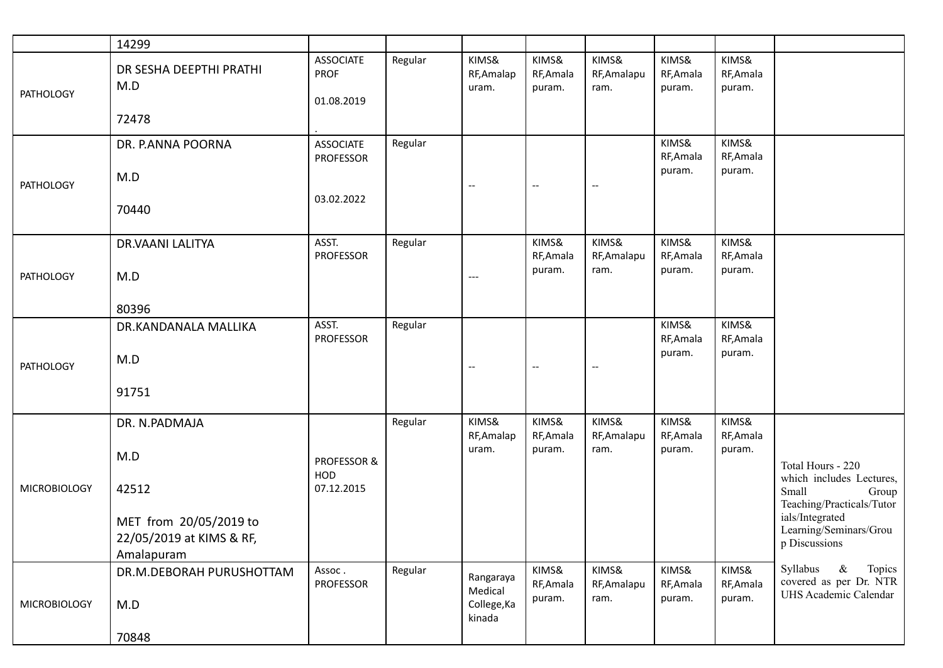|                     | 14299                                                                                             |                                                    |         |                                               |                                                     |                                   |                              |                              |                                                                                                                                                            |
|---------------------|---------------------------------------------------------------------------------------------------|----------------------------------------------------|---------|-----------------------------------------------|-----------------------------------------------------|-----------------------------------|------------------------------|------------------------------|------------------------------------------------------------------------------------------------------------------------------------------------------------|
| <b>PATHOLOGY</b>    | DR SESHA DEEPTHI PRATHI<br>M.D<br>72478                                                           | <b>ASSOCIATE</b><br><b>PROF</b><br>01.08.2019      | Regular | KIMS&<br>RF, Amalap<br>uram.                  | KIMS&<br>RF, Amala<br>puram.                        | KIMS&<br>RF, Amalapu<br>ram.      | KIMS&<br>RF, Amala<br>puram. | KIMS&<br>RF, Amala<br>puram. |                                                                                                                                                            |
| <b>PATHOLOGY</b>    | DR. P.ANNA POORNA<br>M.D<br>70440                                                                 | <b>ASSOCIATE</b><br><b>PROFESSOR</b><br>03.02.2022 | Regular | $\overline{\phantom{m}}$                      | $- -$                                               | $\hspace{0.05cm} \dashrightarrow$ | KIMS&<br>RF, Amala<br>puram. | KIMS&<br>RF, Amala<br>puram. |                                                                                                                                                            |
| <b>PATHOLOGY</b>    | <b>DR.VAANI LALITYA</b><br>M.D<br>80396                                                           | ASST.<br><b>PROFESSOR</b>                          | Regular | $---$                                         | KIMS&<br>RF, Amala<br>puram.                        | KIMS&<br>RF, Amalapu<br>ram.      | KIMS&<br>RF, Amala<br>puram. | KIMS&<br>RF, Amala<br>puram. |                                                                                                                                                            |
| <b>PATHOLOGY</b>    | DR.KANDANALA MALLIKA<br>M.D<br>91751                                                              | ASST.<br><b>PROFESSOR</b>                          | Regular | $\qquad \qquad -$                             | $\hspace{0.05cm} -\hspace{0.05cm} -\hspace{0.05cm}$ | $\qquad \qquad -$                 | KIMS&<br>RF, Amala<br>puram. | KIMS&<br>RF, Amala<br>puram. |                                                                                                                                                            |
| <b>MICROBIOLOGY</b> | DR. N.PADMAJA<br>M.D<br>42512<br>MET from 20/05/2019 to<br>22/05/2019 at KIMS & RF,<br>Amalapuram | PROFESSOR &<br>HOD<br>07.12.2015                   | Regular | KIMS&<br>RF, Amalap<br>uram.                  | KIMS&<br>RF, Amala<br>puram.                        | KIMS&<br>RF, Amalapu<br>ram.      | KIMS&<br>RF, Amala<br>puram. | KIMS&<br>RF, Amala<br>puram. | Total Hours - 220<br>which includes Lectures,<br>Small<br>Group<br>Teaching/Practicals/Tutor<br>ials/Integrated<br>Learning/Seminars/Grou<br>p Discussions |
| <b>MICROBIOLOGY</b> | DR.M.DEBORAH PURUSHOTTAM<br>M.D<br>70848                                                          | Assoc.<br>PROFESSOR                                | Regular | Rangaraya<br>Medical<br>College, Ka<br>kinada | KIMS&<br>RF, Amala<br>puram.                        | KIMS&<br>RF, Amalapu<br>ram.      | KIMS&<br>RF, Amala<br>puram. | KIMS&<br>RF, Amala<br>puram. | Syllabus<br>$\&$<br>Topics<br>covered as per Dr. NTR<br>UHS Academic Calendar                                                                              |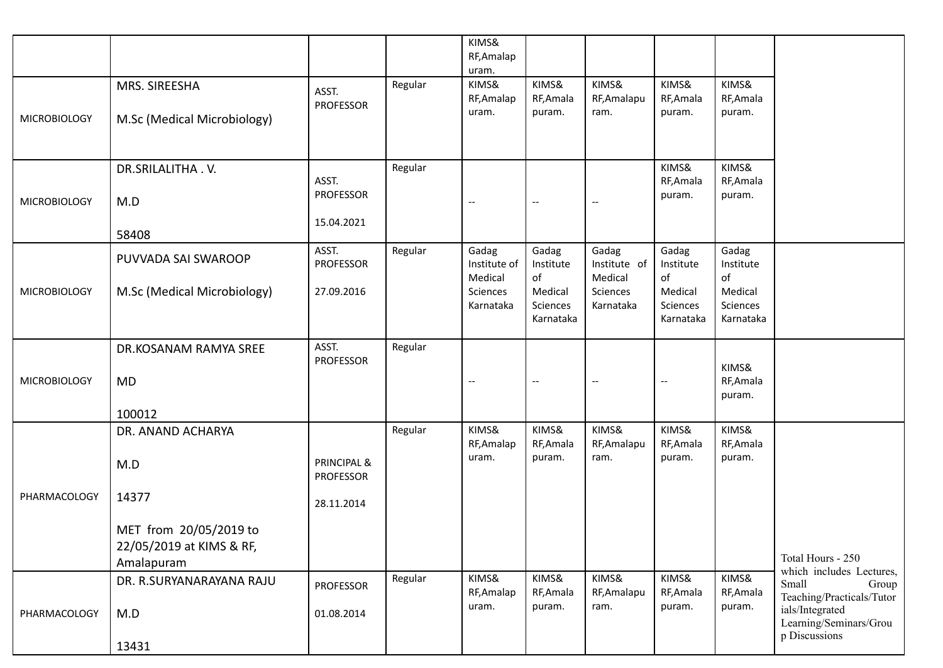|                     |                                                                  |                                 |         | KIMS&<br>RF, Amalap<br>uram.     |                                  |                                                     |                                  |                                  |                                                                         |
|---------------------|------------------------------------------------------------------|---------------------------------|---------|----------------------------------|----------------------------------|-----------------------------------------------------|----------------------------------|----------------------------------|-------------------------------------------------------------------------|
|                     | MRS. SIREESHA                                                    | ASST.<br><b>PROFESSOR</b>       | Regular | KIMS&<br>RF, Amalap              | KIMS&<br>RF, Amala               | KIMS&<br>RF, Amalapu                                | KIMS&<br>RF, Amala               | KIMS&<br>RF, Amala               |                                                                         |
| <b>MICROBIOLOGY</b> | M.Sc (Medical Microbiology)                                      |                                 |         | uram.                            | puram.                           | ram.                                                | puram.                           | puram.                           |                                                                         |
|                     | DR.SRILALITHA.V.                                                 | ASST.                           | Regular |                                  |                                  |                                                     | KIMS&<br>RF, Amala               | KIMS&<br>RF, Amala               |                                                                         |
| <b>MICROBIOLOGY</b> | M.D                                                              | PROFESSOR                       |         | $\overline{\phantom{a}}$         |                                  | $\hspace{0.05cm} -\hspace{0.05cm} -\hspace{0.05cm}$ | puram.                           | puram.                           |                                                                         |
|                     | 58408                                                            | 15.04.2021                      |         |                                  |                                  |                                                     |                                  |                                  |                                                                         |
|                     | PUVVADA SAI SWAROOP                                              | ASST.<br><b>PROFESSOR</b>       | Regular | Gadag<br>Institute of<br>Medical | Gadag<br>Institute<br>of         | Gadag<br>Institute of<br>Medical                    | Gadag<br>Institute<br>of         | Gadag<br>Institute<br>of         |                                                                         |
| <b>MICROBIOLOGY</b> | M.Sc (Medical Microbiology)                                      | 27.09.2016                      |         | Sciences<br>Karnataka            | Medical<br>Sciences<br>Karnataka | Sciences<br>Karnataka                               | Medical<br>Sciences<br>Karnataka | Medical<br>Sciences<br>Karnataka |                                                                         |
|                     | DR.KOSANAM RAMYA SREE                                            | ASST.                           | Regular |                                  |                                  |                                                     |                                  |                                  |                                                                         |
|                     |                                                                  | <b>PROFESSOR</b>                |         |                                  |                                  |                                                     |                                  | KIMS&                            |                                                                         |
| <b>MICROBIOLOGY</b> | <b>MD</b>                                                        |                                 |         | $\overline{\phantom{m}}$         |                                  | $\hspace{0.05cm} -\hspace{0.05cm} -\hspace{0.05cm}$ | $\qquad \qquad -$                | RF, Amala<br>puram.              |                                                                         |
|                     | 100012                                                           |                                 |         |                                  |                                  |                                                     |                                  |                                  |                                                                         |
|                     | DR. ANAND ACHARYA                                                |                                 | Regular | KIMS&<br>RF, Amalap              | KIMS&<br>RF, Amala               | KIMS&<br>RF, Amalapu                                | KIMS&<br>RF, Amala               | KIMS&<br>RF, Amala               |                                                                         |
|                     | M.D                                                              | PRINCIPAL &<br><b>PROFESSOR</b> |         | uram.                            | puram.                           | ram.                                                | puram.                           | puram.                           |                                                                         |
| PHARMACOLOGY        | 14377                                                            | 28.11.2014                      |         |                                  |                                  |                                                     |                                  |                                  |                                                                         |
|                     | MET from 20/05/2019 to<br>22/05/2019 at KIMS & RF,<br>Amalapuram |                                 |         |                                  |                                  |                                                     |                                  |                                  | Total Hours - 250                                                       |
|                     | DR. R.SURYANARAYANA RAJU                                         | PROFESSOR                       | Regular | KIMS&<br>RF, Amalap              | KIMS&<br>RF, Amala               | KIMS&<br>RF, Amalapu                                | KIMS&<br>RF, Amala               | KIMS&<br>RF, Amala               | which includes Lectures,<br>Small<br>Group<br>Teaching/Practicals/Tutor |
| PHARMACOLOGY        | M.D                                                              | 01.08.2014                      |         | uram.                            | puram.                           | ram.                                                | puram.                           | puram.                           | ials/Integrated<br>Learning/Seminars/Grou                               |
|                     | 13431                                                            |                                 |         |                                  |                                  |                                                     |                                  |                                  | p Discussions                                                           |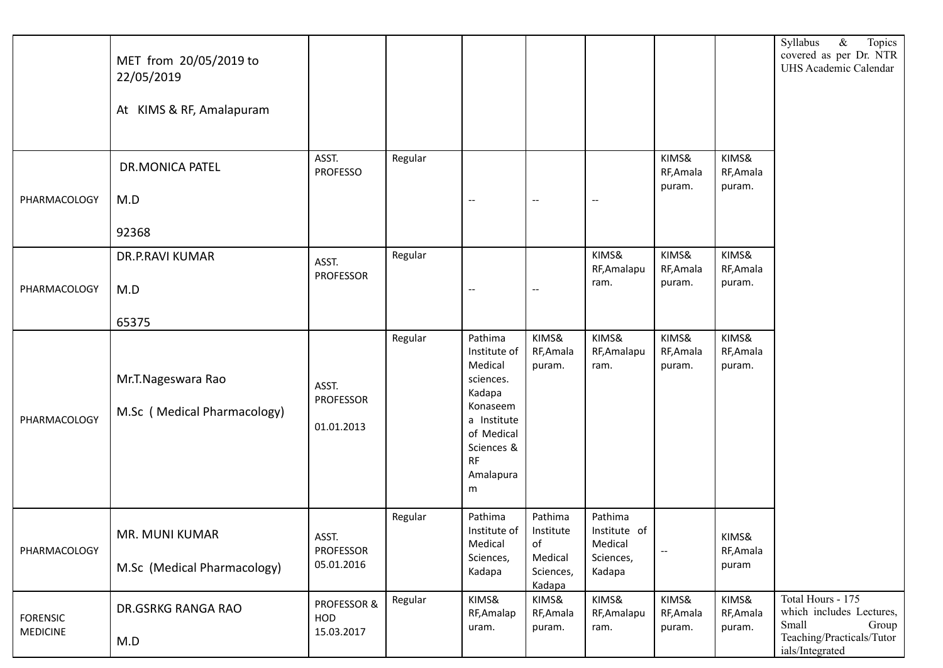|                                    | MET from 20/05/2019 to<br>22/05/2019<br>At KIMS & RF, Amalapuram |                                         |         |                                                                                                                                          |                                                                         |                                                           |                                                     |                              | $\&$<br>Topics<br>Syllabus<br>covered as per Dr. NTR<br>UHS Academic Calendar                                   |
|------------------------------------|------------------------------------------------------------------|-----------------------------------------|---------|------------------------------------------------------------------------------------------------------------------------------------------|-------------------------------------------------------------------------|-----------------------------------------------------------|-----------------------------------------------------|------------------------------|-----------------------------------------------------------------------------------------------------------------|
| PHARMACOLOGY                       | <b>DR.MONICA PATEL</b><br>M.D<br>92368                           | ASST.<br><b>PROFESSO</b>                | Regular | --                                                                                                                                       | $- -$                                                                   | $ \!-$                                                    | KIMS&<br>RF, Amala<br>puram.                        | KIMS&<br>RF, Amala<br>puram. |                                                                                                                 |
| PHARMACOLOGY                       | DR.P.RAVI KUMAR<br>M.D<br>65375                                  | ASST.<br><b>PROFESSOR</b>               | Regular | $-\,-$                                                                                                                                   | $- \hspace{0.1em} -$                                                    | KIMS&<br>RF, Amalapu<br>ram.                              | KIMS&<br>RF, Amala<br>puram.                        | KIMS&<br>RF, Amala<br>puram. |                                                                                                                 |
| PHARMACOLOGY                       | Mr.T.Nageswara Rao<br>M.Sc (Medical Pharmacology)                | ASST.<br><b>PROFESSOR</b><br>01.01.2013 | Regular | Pathima<br>Institute of<br>Medical<br>sciences.<br>Kadapa<br>Konaseem<br>a Institute<br>of Medical<br>Sciences &<br>RF<br>Amalapura<br>m | KIMS&<br>RF, Amala<br>puram.                                            | KIMS&<br>RF, Amalapu<br>ram.                              | KIMS&<br>RF, Amala<br>puram.                        | KIMS&<br>RF, Amala<br>puram. |                                                                                                                 |
| PHARMACOLOGY                       | MR. MUNI KUMAR<br>M.Sc (Medical Pharmacology)                    | ASST.<br><b>PROFESSOR</b><br>05.01.2016 | Regular | Pathima<br>Institute of $\vert$<br>Medical<br>Sciences,<br>Kadapa                                                                        | Pathima<br>Institute<br>$\mathsf{of}$<br>Medical<br>Sciences,<br>Kadapa | Pathima<br>Institute of<br>Medical<br>Sciences,<br>Kadapa | $\hspace{0.05cm} -\hspace{0.05cm} -\hspace{0.05cm}$ | KIMS&<br>RF, Amala<br>puram  |                                                                                                                 |
| <b>FORENSIC</b><br><b>MEDICINE</b> | DR.GSRKG RANGA RAO<br>M.D                                        | PROFESSOR &<br>HOD<br>15.03.2017        | Regular | KIMS&<br>RF, Amalap<br>uram.                                                                                                             | KIMS&<br>RF, Amala<br>puram.                                            | KIMS&<br>RF, Amalapu<br>ram.                              | KIMS&<br>RF, Amala<br>puram.                        | KIMS&<br>RF, Amala<br>puram. | Total Hours - 175<br>which includes Lectures,<br>Small<br>Group<br>Teaching/Practicals/Tutor<br>ials/Integrated |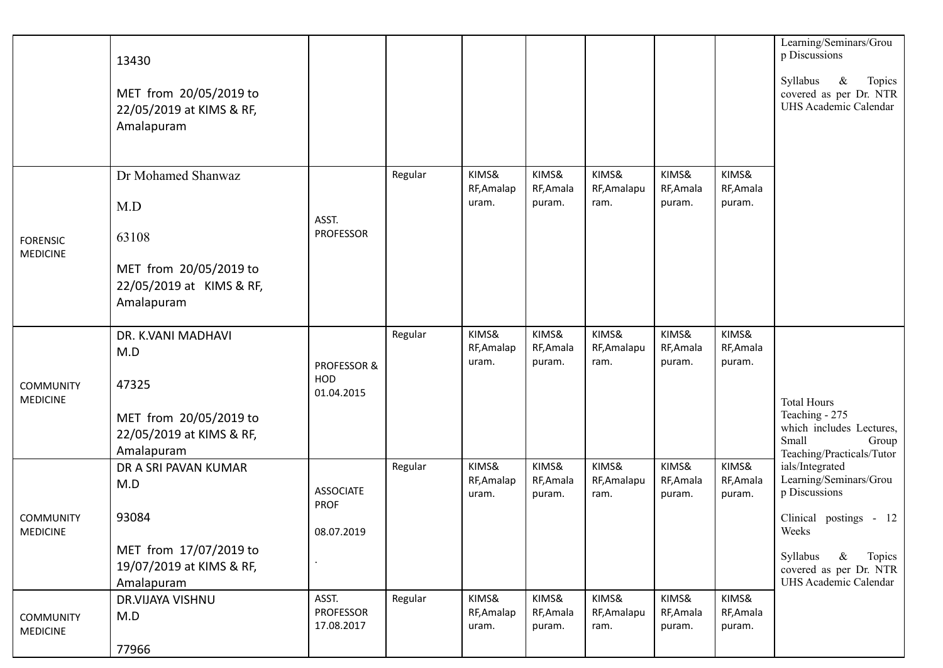|                                     | 13430                                                            |                                |         |                     |                     |                      |                     |                     | Learning/Seminars/Grou<br>p Discussions                                       |
|-------------------------------------|------------------------------------------------------------------|--------------------------------|---------|---------------------|---------------------|----------------------|---------------------|---------------------|-------------------------------------------------------------------------------|
|                                     | MET from 20/05/2019 to<br>22/05/2019 at KIMS & RF,<br>Amalapuram |                                |         |                     |                     |                      |                     |                     | $\&$<br>Topics<br>Syllabus<br>covered as per Dr. NTR<br>UHS Academic Calendar |
|                                     |                                                                  |                                |         |                     |                     |                      |                     |                     |                                                                               |
|                                     | Dr Mohamed Shanwaz                                               |                                | Regular | KIMS&<br>RF, Amalap | KIMS&<br>RF, Amala  | KIMS&<br>RF, Amalapu | KIMS&<br>RF, Amala  | KIMS&<br>RF, Amala  |                                                                               |
|                                     | M.D                                                              |                                |         | uram.               | puram.              | ram.                 | puram.              | puram.              |                                                                               |
| <b>FORENSIC</b>                     | 63108                                                            | ASST.<br><b>PROFESSOR</b>      |         |                     |                     |                      |                     |                     |                                                                               |
| <b>MEDICINE</b>                     | MET from 20/05/2019 to<br>22/05/2019 at KIMS & RF,<br>Amalapuram |                                |         |                     |                     |                      |                     |                     |                                                                               |
|                                     | DR. K.VANI MADHAVI                                               |                                | Regular | KIMS&               | KIMS&               | KIMS&                | KIMS&               | KIMS&               |                                                                               |
|                                     | M.D                                                              | PROFESSOR &                    |         | RF, Amalap<br>uram. | RF, Amala<br>puram. | RF, Amalapu<br>ram.  | RF, Amala<br>puram. | RF, Amala<br>puram. |                                                                               |
| <b>COMMUNITY</b><br><b>MEDICINE</b> | 47325                                                            | <b>HOD</b><br>01.04.2015       |         |                     |                     |                      |                     |                     | <b>Total Hours</b>                                                            |
|                                     | MET from 20/05/2019 to                                           |                                |         |                     |                     |                      |                     |                     | Teaching - 275<br>which includes Lectures,                                    |
|                                     | 22/05/2019 at KIMS & RF,<br>Amalapuram                           |                                |         |                     |                     |                      |                     |                     | Small<br>Group                                                                |
|                                     | DR A SRI PAVAN KUMAR                                             |                                | Regular | KIMS&               | KIMS&               | KIMS&                | KIMS&               | KIMS&               | Teaching/Practicals/Tutor<br>ials/Integrated                                  |
|                                     | M.D                                                              | <b>ASSOCIATE</b>               |         | RF, Amalap<br>uram. | RF, Amala<br>puram. | RF, Amalapu<br>ram.  | RF, Amala<br>puram. | RF, Amala<br>puram. | Learning/Seminars/Grou<br>p Discussions                                       |
| <b>COMMUNITY</b>                    | 93084                                                            | <b>PROF</b>                    |         |                     |                     |                      |                     |                     | Clinical postings - 12                                                        |
| <b>MEDICINE</b>                     |                                                                  | 08.07.2019                     |         |                     |                     |                      |                     |                     | Weeks                                                                         |
|                                     | MET from 17/07/2019 to                                           |                                |         |                     |                     |                      |                     |                     | Syllabus<br>$\&$<br>Topics                                                    |
|                                     | 19/07/2019 at KIMS & RF,<br>Amalapuram                           |                                |         |                     |                     |                      |                     |                     | covered as per Dr. NTR<br>UHS Academic Calendar                               |
|                                     | DR.VIJAYA VISHNU                                                 | ASST.                          | Regular | KIMS&               | KIMS&               | KIMS&                | KIMS&               | KIMS&               |                                                                               |
| <b>COMMUNITY</b><br><b>MEDICINE</b> | M.D                                                              | <b>PROFESSOR</b><br>17.08.2017 |         | RF, Amalap<br>uram. | RF, Amala<br>puram. | RF, Amalapu<br>ram.  | RF, Amala<br>puram. | RF, Amala<br>puram. |                                                                               |
|                                     | 77966                                                            |                                |         |                     |                     |                      |                     |                     |                                                                               |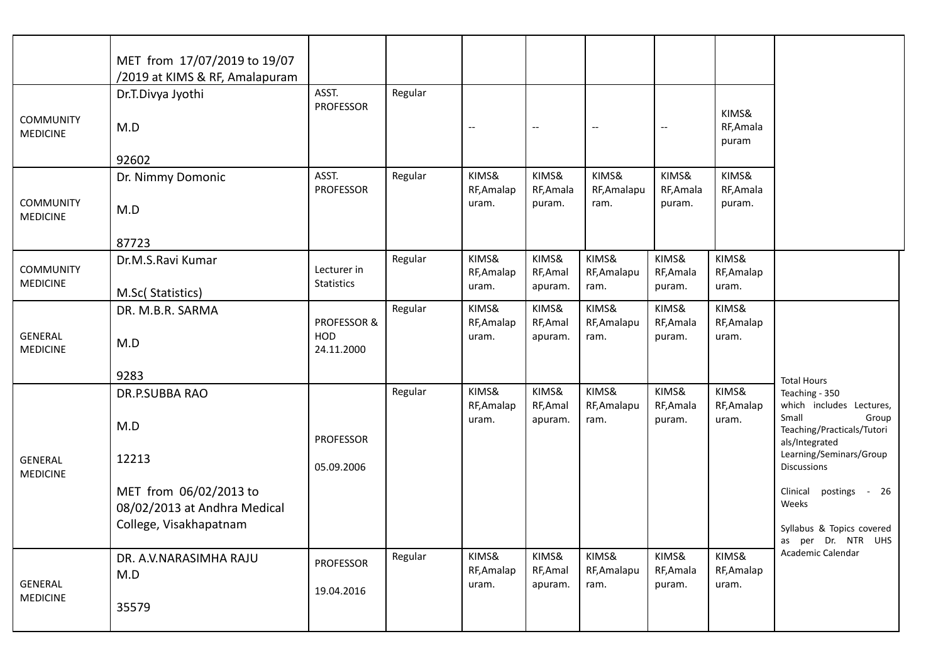|                                     | MET from 17/07/2019 to 19/07<br>/2019 at KIMS & RF, Amalapuram |                           |         |                              |                              |                              |                              |                              |                                                       |
|-------------------------------------|----------------------------------------------------------------|---------------------------|---------|------------------------------|------------------------------|------------------------------|------------------------------|------------------------------|-------------------------------------------------------|
| <b>COMMUNITY</b><br><b>MEDICINE</b> | Dr.T.Divya Jyothi<br>M.D                                       | ASST.<br>PROFESSOR        | Regular | $- -$                        |                              | $\hspace{0.05cm} \ldots$     | $\hspace{0.05cm} \ldots$     | KIMS&<br>RF, Amala<br>puram  |                                                       |
|                                     | 92602                                                          |                           |         |                              |                              |                              |                              |                              |                                                       |
|                                     | Dr. Nimmy Domonic                                              | ASST.<br><b>PROFESSOR</b> | Regular | KIMS&<br>RF, Amalap          | KIMS&<br>RF, Amala           | KIMS&<br>RF, Amalapu         | KIMS&<br>RF, Amala           | KIMS&<br>RF, Amala           |                                                       |
| <b>COMMUNITY</b><br><b>MEDICINE</b> | M.D                                                            |                           |         | uram.                        | puram.                       | ram.                         | puram.                       | puram.                       |                                                       |
|                                     | 87723                                                          |                           |         |                              |                              |                              |                              |                              |                                                       |
| <b>COMMUNITY</b><br><b>MEDICINE</b> | Dr.M.S.Ravi Kumar                                              | Lecturer in<br>Statistics | Regular | KIMS&<br>RF, Amalap<br>uram. | KIMS&<br>RF, Amal<br>apuram. | KIMS&<br>RF, Amalapu<br>ram. | KIMS&<br>RF, Amala<br>puram. | KIMS&<br>RF, Amalap<br>uram. |                                                       |
|                                     | M.Sc(Statistics)<br>DR. M.B.R. SARMA                           |                           | Regular | KIMS&                        | KIMS&                        | KIMS&                        | KIMS&                        | KIMS&                        |                                                       |
|                                     |                                                                | PROFESSOR &               |         | RF, Amalap                   | RF, Amal                     | RF, Amalapu                  | RF, Amala                    | RF, Amalap                   |                                                       |
| <b>GENERAL</b><br><b>MEDICINE</b>   | M.D                                                            | <b>HOD</b><br>24.11.2000  |         | uram.                        | apuram.                      | ram.                         | puram.                       | uram.                        |                                                       |
|                                     | 9283                                                           |                           |         |                              |                              |                              |                              |                              | <b>Total Hours</b>                                    |
|                                     | DR.P.SUBBA RAO                                                 |                           | Regular | KIMS&<br>RF, Amalap          | KIMS&<br>RF, Amal            | KIMS&<br>RF, Amalapu         | KIMS&<br>RF, Amala           | KIMS&<br>RF, Amalap          | Teaching - 350<br>which includes Lectures,<br>Small   |
|                                     | M.D                                                            | <b>PROFESSOR</b>          |         | uram.                        | apuram.                      | ram.                         | puram.                       | uram.                        | Group<br>Teaching/Practicals/Tutori<br>als/Integrated |
| GENERAL<br><b>MEDICINE</b>          | 12213                                                          | 05.09.2006                |         |                              |                              |                              |                              |                              | Learning/Seminars/Group<br><b>Discussions</b>         |
|                                     | MET from 06/02/2013 to<br>08/02/2013 at Andhra Medical         |                           |         |                              |                              |                              |                              |                              | Clinical<br>postings<br>$-26$<br>Weeks                |
|                                     | College, Visakhapatnam                                         |                           |         |                              |                              |                              |                              |                              | Syllabus & Topics covered<br>as per Dr. NTR UHS       |
|                                     | DR. A.V.NARASIMHA RAJU<br>M.D                                  | PROFESSOR                 | Regular | KIMS&<br>RF, Amalap          | KIMS&<br>RF, Amal            | KIMS&<br>RF, Amalapu         | KIMS&<br>RF, Amala           | KIMS&<br>RF, Amalap          | Academic Calendar                                     |
| <b>GENERAL</b><br><b>MEDICINE</b>   | 35579                                                          | 19.04.2016                |         | uram.                        | apuram.                      | ram.                         | puram.                       | uram.                        |                                                       |
|                                     |                                                                |                           |         |                              |                              |                              |                              |                              |                                                       |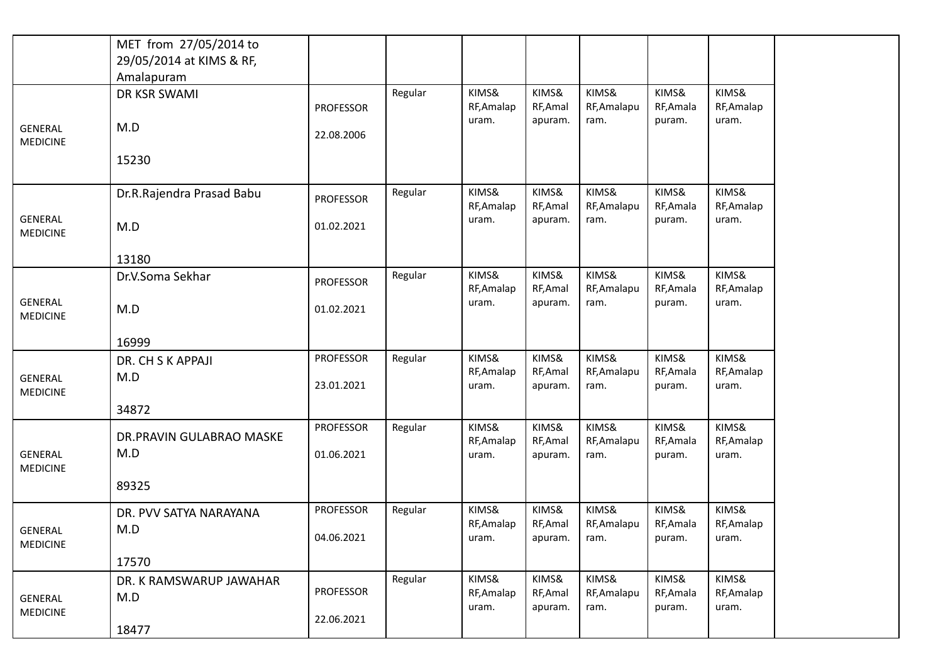|                                   | MET from 27/05/2014 to    |                  |         |                     |                     |                      |                     |                     |
|-----------------------------------|---------------------------|------------------|---------|---------------------|---------------------|----------------------|---------------------|---------------------|
|                                   | 29/05/2014 at KIMS & RF,  |                  |         |                     |                     |                      |                     |                     |
|                                   | Amalapuram                |                  |         |                     |                     |                      |                     |                     |
|                                   | DR KSR SWAMI              |                  | Regular | KIMS&               | KIMS&               | KIMS&                | KIMS&               | KIMS&               |
|                                   |                           | <b>PROFESSOR</b> |         | RF, Amalap          | RF, Amal            | RF, Amalapu          | RF, Amala           | RF, Amalap          |
| <b>GENERAL</b><br><b>MEDICINE</b> | M.D                       | 22.08.2006       |         | uram.               | apuram.             | ram.                 | puram.              | uram.               |
|                                   | 15230                     |                  |         |                     |                     |                      |                     |                     |
|                                   | Dr.R.Rajendra Prasad Babu | <b>PROFESSOR</b> | Regular | KIMS&<br>RF, Amalap | KIMS&<br>RF, Amal   | KIMS&<br>RF, Amalapu | KIMS&<br>RF, Amala  | KIMS&<br>RF, Amalap |
| <b>GENERAL</b><br><b>MEDICINE</b> | M.D                       | 01.02.2021       |         | uram.               | apuram.             | ram.                 | puram.              | uram.               |
|                                   | 13180                     |                  |         |                     |                     |                      |                     |                     |
|                                   | Dr.V.Soma Sekhar          | <b>PROFESSOR</b> | Regular | KIMS&<br>RF, Amalap | KIMS&<br>RF, Amal   | KIMS&<br>RF, Amalapu | KIMS&<br>RF, Amala  | KIMS&<br>RF, Amalap |
| <b>GENERAL</b><br><b>MEDICINE</b> | M.D                       | 01.02.2021       |         | uram.               | apuram.             | ram.                 | puram.              | uram.               |
|                                   | 16999                     |                  |         |                     |                     |                      |                     |                     |
|                                   | DR. CH S K APPAJI         | <b>PROFESSOR</b> | Regular | KIMS&               | KIMS&               | KIMS&                | KIMS&               | KIMS&               |
| <b>GENERAL</b><br><b>MEDICINE</b> | M.D                       | 23.01.2021       |         | RF, Amalap<br>uram. | RF, Amal<br>apuram. | RF, Amalapu<br>ram.  | RF, Amala<br>puram. | RF, Amalap<br>uram. |
|                                   | 34872                     |                  |         |                     |                     |                      |                     |                     |
|                                   | DR.PRAVIN GULABRAO MASKE  | <b>PROFESSOR</b> | Regular | KIMS&<br>RF, Amalap | KIMS&<br>RF, Amal   | KIMS&<br>RF, Amalapu | KIMS&<br>RF, Amala  | KIMS&<br>RF, Amalap |
| <b>GENERAL</b><br><b>MEDICINE</b> | M.D                       | 01.06.2021       |         | uram.               | apuram.             | ram.                 | puram.              | uram.               |
|                                   | 89325                     |                  |         |                     |                     |                      |                     |                     |
|                                   | DR. PVV SATYA NARAYANA    | <b>PROFESSOR</b> | Regular | KIMS&               | KIMS&               | KIMS&                | KIMS&               | KIMS&               |
| GENERAL<br><b>MEDICINE</b>        | M.D                       | 04.06.2021       |         | RF, Amalap<br>uram. | RF, Amal<br>apuram. | RF, Amalapu<br>ram.  | RF, Amala<br>puram. | RF, Amalap<br>uram. |
|                                   | 17570                     |                  |         |                     |                     |                      |                     |                     |
|                                   | DR. K RAMSWARUP JAWAHAR   |                  | Regular | KIMS&               | KIMS&               | KIMS&                | KIMS&               | KIMS&               |
| GENERAL                           | M.D                       | <b>PROFESSOR</b> |         | RF, Amalap          | RF, Amal            | RF, Amalapu          | RF, Amala           | RF, Amalap          |
| <b>MEDICINE</b>                   |                           | 22.06.2021       |         | uram.               | apuram.             | ram.                 | puram.              | uram.               |
|                                   | 18477                     |                  |         |                     |                     |                      |                     |                     |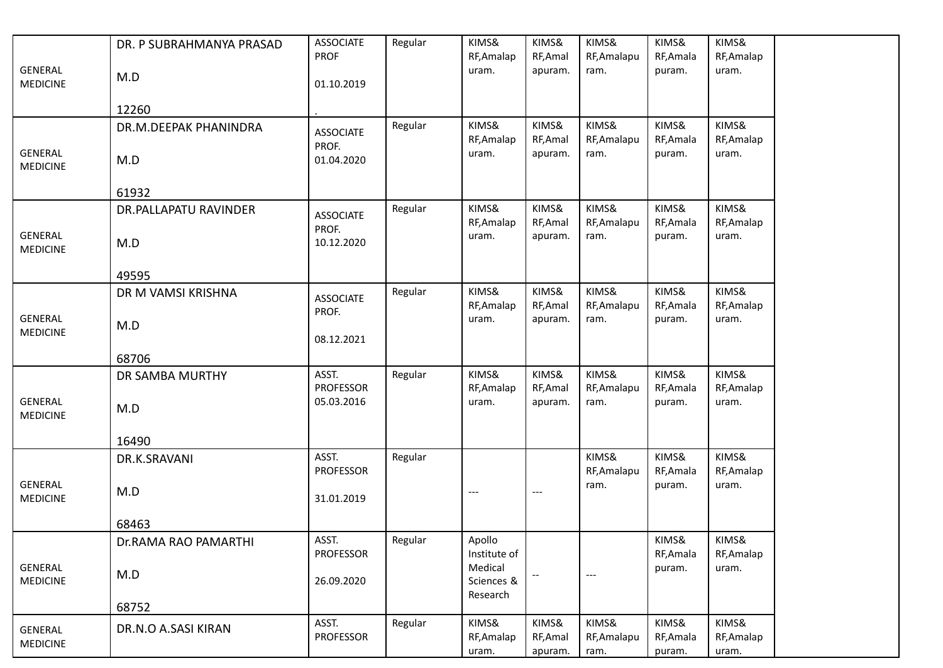|                                   | DR. P SUBRAHMANYA PRASAD | <b>ASSOCIATE</b><br><b>PROF</b> | Regular | KIMS&<br>RF, Amalap               | KIMS&<br>RF, Amal            | KIMS&<br>RF, Amalapu         | KIMS&<br>RF, Amala           | KIMS&<br>RF, Amalap          |
|-----------------------------------|--------------------------|---------------------------------|---------|-----------------------------------|------------------------------|------------------------------|------------------------------|------------------------------|
| <b>GENERAL</b><br><b>MEDICINE</b> | M.D                      | 01.10.2019                      |         | uram.                             | apuram.                      | ram.                         | puram.                       | uram.                        |
|                                   | 12260                    |                                 |         |                                   |                              |                              |                              |                              |
| <b>GENERAL</b>                    | DR.M.DEEPAK PHANINDRA    | <b>ASSOCIATE</b><br>PROF.       | Regular | KIMS&<br>RF, Amalap<br>uram.      | KIMS&<br>RF, Amal<br>apuram. | KIMS&<br>RF, Amalapu<br>ram. | KIMS&<br>RF, Amala<br>puram. | KIMS&<br>RF, Amalap<br>uram. |
| <b>MEDICINE</b>                   | M.D                      | 01.04.2020                      |         |                                   |                              |                              |                              |                              |
|                                   | 61932                    |                                 |         |                                   |                              |                              |                              |                              |
| <b>GENERAL</b>                    | DR.PALLAPATU RAVINDER    | <b>ASSOCIATE</b><br>PROF.       | Regular | KIMS&<br>RF, Amalap<br>uram.      | KIMS&<br>RF, Amal<br>apuram. | KIMS&<br>RF, Amalapu<br>ram. | KIMS&<br>RF, Amala<br>puram. | KIMS&<br>RF, Amalap<br>uram. |
| <b>MEDICINE</b>                   | M.D                      | 10.12.2020                      |         |                                   |                              |                              |                              |                              |
|                                   | 49595                    |                                 |         |                                   |                              |                              |                              |                              |
|                                   | DR M VAMSI KRISHNA       | <b>ASSOCIATE</b><br>PROF.       | Regular | KIMS&<br>RF, Amalap               | KIMS&<br>RF, Amal            | KIMS&<br>RF, Amalapu         | KIMS&<br>RF, Amala           | KIMS&<br>RF, Amalap          |
| <b>GENERAL</b><br><b>MEDICINE</b> | M.D                      | 08.12.2021                      |         | uram.                             | apuram.                      | ram.                         | puram.                       | uram.                        |
|                                   | 68706                    |                                 |         |                                   |                              |                              |                              |                              |
|                                   | DR SAMBA MURTHY          | ASST.<br><b>PROFESSOR</b>       | Regular | KIMS&<br>RF, Amalap               | KIMS&<br>RF, Amal            | KIMS&<br>RF, Amalapu         | KIMS&<br>RF, Amala           | KIMS&<br>RF, Amalap          |
| <b>GENERAL</b><br><b>MEDICINE</b> | M.D                      | 05.03.2016                      |         | uram.                             | apuram.                      | ram.                         | puram.                       | uram.                        |
|                                   | 16490                    |                                 |         |                                   |                              |                              |                              |                              |
|                                   | DR.K.SRAVANI             | ASST.<br><b>PROFESSOR</b>       | Regular |                                   |                              | KIMS&<br>RF, Amalapu         | KIMS&<br>RF, Amala           | KIMS&<br>RF, Amalap          |
| <b>GENERAL</b><br><b>MEDICINE</b> | M.D                      | 31.01.2019                      |         | ---                               | $---$                        | ram.                         | puram.                       | uram.                        |
|                                   | 68463                    |                                 |         |                                   |                              |                              |                              |                              |
|                                   | Dr.RAMA RAO PAMARTHI     | ASST.<br><b>PROFESSOR</b>       | Regular | Apollo<br>Institute of            |                              |                              | KIMS&<br>RF, Amala           | KIMS&<br>RF, Amalap          |
| GENERAL<br><b>MEDICINE</b>        | M.D                      | 26.09.2020                      |         | Medical<br>Sciences &<br>Research |                              | $---$                        | puram.                       | uram.                        |
|                                   | 68752                    |                                 |         |                                   |                              |                              |                              |                              |
| <b>GENERAL</b><br><b>MEDICINE</b> | DR.N.O A.SASI KIRAN      | ASST.<br>PROFESSOR              | Regular | KIMS&<br>RF, Amalap               | KIMS&<br>RF, Amal            | KIMS&<br>RF, Amalapu         | KIMS&<br>RF, Amala           | KIMS&<br>RF, Amalap          |
|                                   |                          |                                 |         | uram.                             | apuram.                      | ram.                         | puram.                       | uram.                        |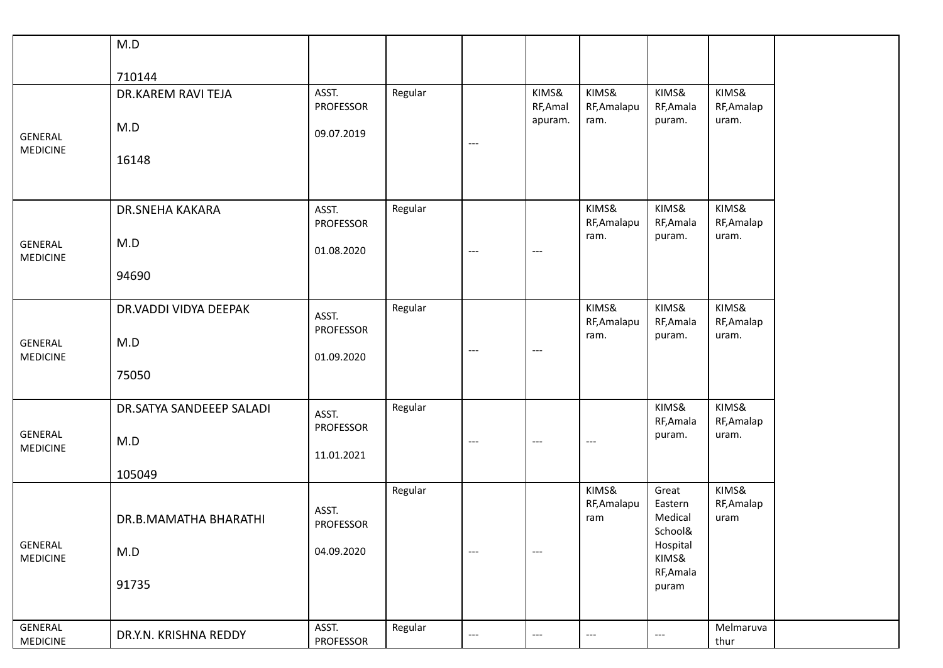|                                   | M.D                      |                                |         |                          |                                          |                             |                                        |                             |
|-----------------------------------|--------------------------|--------------------------------|---------|--------------------------|------------------------------------------|-----------------------------|----------------------------------------|-----------------------------|
|                                   | 710144                   |                                |         |                          |                                          |                             |                                        |                             |
|                                   | DR.KAREM RAVI TEJA       | ASST.<br>PROFESSOR             | Regular |                          | KIMS&<br>RF, Amal                        | KIMS&<br>RF, Amalapu        | KIMS&<br>RF, Amala                     | KIMS&<br>RF, Amalap         |
| <b>GENERAL</b>                    | M.D                      | 09.07.2019                     |         | $---$                    | apuram.                                  | ram.                        | puram.                                 | uram.                       |
| <b>MEDICINE</b>                   | 16148                    |                                |         |                          |                                          |                             |                                        |                             |
|                                   | DR.SNEHA KAKARA          | ASST.<br><b>PROFESSOR</b>      | Regular |                          |                                          | KIMS&<br>RF, Amalapu        | KIMS&<br>RF, Amala                     | KIMS&<br>RF, Amalap         |
| <b>GENERAL</b><br><b>MEDICINE</b> | M.D                      | 01.08.2020                     |         | ---                      | $\hspace{0.05cm} \ldots \hspace{0.05cm}$ | ram.                        | puram.                                 | uram.                       |
|                                   | 94690                    |                                |         |                          |                                          |                             |                                        |                             |
|                                   | DR.VADDI VIDYA DEEPAK    | ASST.                          | Regular |                          |                                          | KIMS&<br>RF, Amalapu        | KIMS&<br>RF, Amala                     | KIMS&<br>RF, Amalap         |
| <b>GENERAL</b><br><b>MEDICINE</b> | M.D                      | <b>PROFESSOR</b><br>01.09.2020 |         | $---$                    | $\hspace{0.05cm} \ldots \hspace{0.05cm}$ | ram.                        | puram.                                 | uram.                       |
|                                   | 75050                    |                                |         |                          |                                          |                             |                                        |                             |
|                                   | DR.SATYA SANDEEEP SALADI | ASST.                          | Regular |                          |                                          |                             | KIMS&<br>RF, Amala                     | KIMS&<br>RF, Amalap         |
| <b>GENERAL</b><br><b>MEDICINE</b> | M.D                      | PROFESSOR<br>11.01.2021        |         | $---$                    | $---$                                    | $---$                       | puram.                                 | uram.                       |
|                                   | 105049                   |                                |         |                          |                                          |                             |                                        |                             |
|                                   | DR.B.MAMATHA BHARATHI    | ASST.<br><b>PROFESSOR</b>      | Regular |                          |                                          | KIMS&<br>RF, Amalapu<br>ram | Great<br>Eastern<br>Medical<br>School& | KIMS&<br>RF, Amalap<br>uram |
| <b>GENERAL</b><br><b>MEDICINE</b> | M.D                      | 04.09.2020                     |         | $\cdots$                 | $\hspace{0.05cm} \ldots \hspace{0.05cm}$ |                             | Hospital<br>KIMS&                      |                             |
|                                   | 91735                    |                                |         |                          |                                          |                             | RF, Amala<br>puram                     |                             |
| <b>GENERAL</b>                    |                          | ASST.                          | Regular |                          |                                          |                             |                                        | Melmaruva                   |
| MEDICINE                          | DR.Y.N. KRISHNA REDDY    | PROFESSOR                      |         | $\hspace{0.05cm} \ldots$ | $-\, -\, -$                              | $\qquad \qquad - -$         | $\hspace{0.05cm} \dashrightarrow$      | thur                        |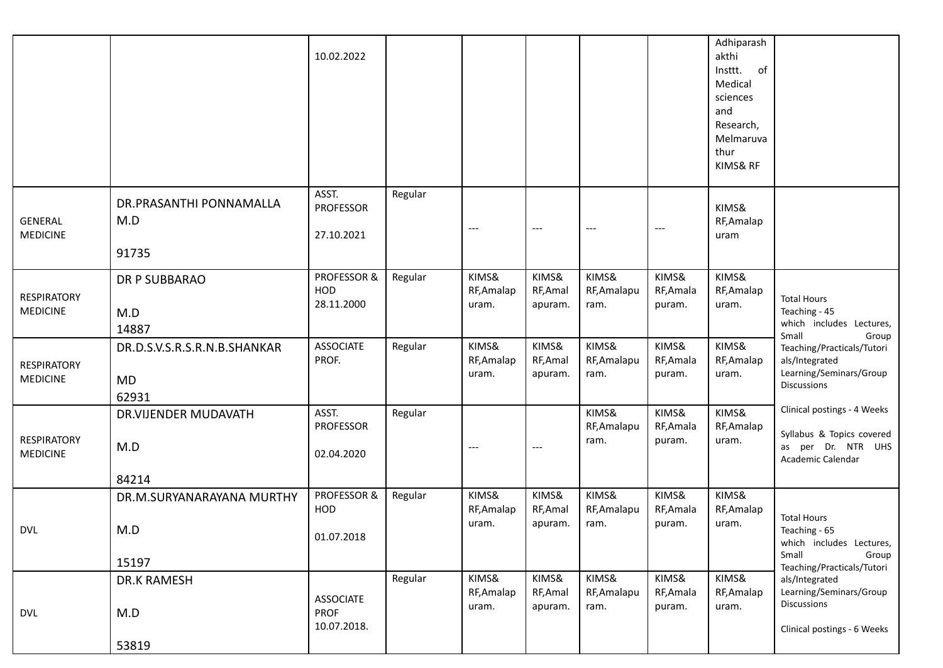|                                       |                                                    | 10.02.2022                                     |         |                              |                              |                              |                              | Adhiparash<br>akthi<br>of<br>Insttt.<br>Medical<br>sciences<br>and<br>Research,<br>Melmaruva<br>thur<br>KIMS& RF |                                                                                                                       |
|---------------------------------------|----------------------------------------------------|------------------------------------------------|---------|------------------------------|------------------------------|------------------------------|------------------------------|------------------------------------------------------------------------------------------------------------------|-----------------------------------------------------------------------------------------------------------------------|
| GENERAL<br><b>MEDICINE</b>            | DR.PRASANTHI PONNAMALLA<br>M.D<br>91735            | ASST.<br><b>PROFESSOR</b><br>27.10.2021        | Regular | $---$                        | $---$                        | $---$                        | $---$                        | KIMS&<br>RF, Amalap<br>uram                                                                                      |                                                                                                                       |
| <b>RESPIRATORY</b><br><b>MEDICINE</b> | <b>DR P SUBBARAO</b><br>M.D<br>14887               | PROFESSOR &<br>HOD<br>28.11.2000               | Regular | KIMS&<br>RF, Amalap<br>uram. | KIMS&<br>RF, Amal<br>apuram. | KIMS&<br>RF, Amalapu<br>ram. | KIMS&<br>RF, Amala<br>puram. | KIMS&<br>RF, Amalap<br>uram.                                                                                     | <b>Total Hours</b><br>Teaching - 45<br>which includes Lectures,<br>Small<br>Group                                     |
| <b>RESPIRATORY</b><br><b>MEDICINE</b> | DR.D.S.V.S.R.S.R.N.B.SHANKAR<br><b>MD</b><br>62931 | <b>ASSOCIATE</b><br>PROF.                      | Regular | KIMS&<br>RF, Amalap<br>uram. | KIMS&<br>RF, Amal<br>apuram. | KIMS&<br>RF, Amalapu<br>ram. | KIMS&<br>RF, Amala<br>puram. | KIMS&<br>RF, Amalap<br>uram.                                                                                     | Teaching/Practicals/Tutori<br>als/Integrated<br>Learning/Seminars/Group<br><b>Discussions</b>                         |
| <b>RESPIRATORY</b><br><b>MEDICINE</b> | DR.VIJENDER MUDAVATH<br>M.D<br>84214               | ASST.<br><b>PROFESSOR</b><br>02.04.2020        | Regular | $\cdots$                     | $---$                        | KIMS&<br>RF, Amalapu<br>ram. | KIMS&<br>RF, Amala<br>puram. | KIMS&<br>RF, Amalap<br>uram.                                                                                     | Clinical postings - 4 Weeks<br>Syllabus & Topics covered<br>as per Dr. NTR UHS<br>Academic Calendar                   |
| <b>DVL</b>                            | DR.M.SURYANARAYANA MURTHY<br>M.D<br>15197          | PROFESSOR &<br>HOD<br>01.07.2018               | Regular | KIMS&<br>RF, Amalap<br>uram. | KIMS&<br>RF, Amal<br>apuram. | KIMS&<br>RF, Amalapu<br>ram. | KIMS&<br>RF, Amala<br>puram. | KIMS&<br>RF, Amalap<br>uram.                                                                                     | <b>Total Hours</b><br>Teaching - 65<br>which includes Lectures,<br>Small<br>Group                                     |
| <b>DVL</b>                            | DR.K RAMESH<br>M.D<br>53819                        | <b>ASSOCIATE</b><br><b>PROF</b><br>10.07.2018. | Regular | KIMS&<br>RF, Amalap<br>uram. | KIMS&<br>RF, Amal<br>apuram. | KIMS&<br>RF, Amalapu<br>ram. | KIMS&<br>RF, Amala<br>puram. | KIMS&<br>RF, Amalap<br>uram.                                                                                     | Teaching/Practicals/Tutori<br>als/Integrated<br>Learning/Seminars/Group<br>Discussions<br>Clinical postings - 6 Weeks |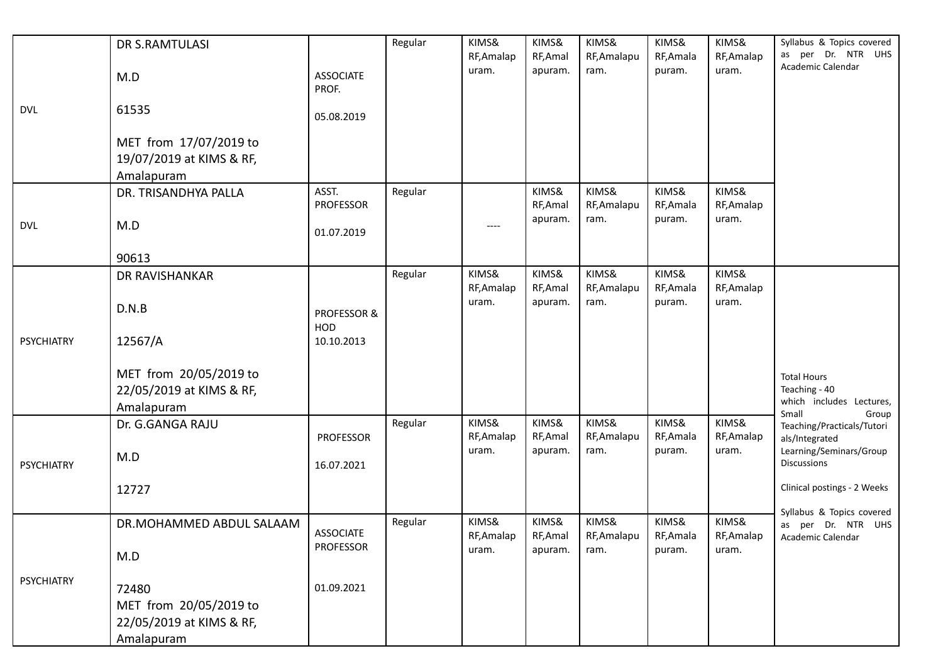|                   | DR S.RAMTULASI                                                            |                               | Regular | KIMS&<br>RF, Amalap | KIMS&<br>RF, Amal | KIMS&<br>RF, Amalapu | KIMS&<br>RF, Amala | KIMS&<br>RF, Amalap | Syllabus & Topics covered<br>as per Dr. NTR UHS                                   |
|-------------------|---------------------------------------------------------------------------|-------------------------------|---------|---------------------|-------------------|----------------------|--------------------|---------------------|-----------------------------------------------------------------------------------|
|                   | M.D                                                                       | <b>ASSOCIATE</b><br>PROF.     |         | uram.               | apuram.           | ram.                 | puram.             | uram.               | Academic Calendar                                                                 |
| <b>DVL</b>        | 61535                                                                     | 05.08.2019                    |         |                     |                   |                      |                    |                     |                                                                                   |
|                   | MET from 17/07/2019 to<br>19/07/2019 at KIMS & RF,<br>Amalapuram          |                               |         |                     |                   |                      |                    |                     |                                                                                   |
|                   | DR. TRISANDHYA PALLA                                                      | ASST.<br><b>PROFESSOR</b>     | Regular |                     | KIMS&<br>RF, Amal | KIMS&<br>RF, Amalapu | KIMS&<br>RF, Amala | KIMS&<br>RF, Amalap |                                                                                   |
| <b>DVL</b>        | M.D                                                                       | 01.07.2019                    |         | ----                | apuram.           | ram.                 | puram.             | uram.               |                                                                                   |
|                   | 90613                                                                     |                               |         |                     |                   |                      |                    |                     |                                                                                   |
|                   | DR RAVISHANKAR                                                            |                               | Regular | KIMS&<br>RF, Amalap | KIMS&<br>RF, Amal | KIMS&<br>RF, Amalapu | KIMS&<br>RF, Amala | KIMS&<br>RF, Amalap |                                                                                   |
|                   | D.N.B                                                                     | <b>PROFESSOR &amp;</b><br>HOD |         | uram.               | apuram.           | ram.                 | puram.             | uram.               |                                                                                   |
| <b>PSYCHIATRY</b> | 12567/A                                                                   | 10.10.2013                    |         |                     |                   |                      |                    |                     |                                                                                   |
|                   | MET from 20/05/2019 to<br>22/05/2019 at KIMS & RF,<br>Amalapuram          |                               |         |                     |                   |                      |                    |                     | <b>Total Hours</b><br>Teaching - 40<br>which includes Lectures,<br>Small<br>Group |
|                   | Dr. G.GANGA RAJU                                                          | <b>PROFESSOR</b>              | Regular | KIMS&<br>RF, Amalap | KIMS&<br>RF, Amal | KIMS&<br>RF, Amalapu | KIMS&<br>RF, Amala | KIMS&<br>RF, Amalap | Teaching/Practicals/Tutori<br>als/Integrated                                      |
| <b>PSYCHIATRY</b> | M.D                                                                       | 16.07.2021                    |         | uram.               | apuram.           | ram.                 | puram.             | uram.               | Learning/Seminars/Group<br><b>Discussions</b>                                     |
|                   | 12727                                                                     |                               |         |                     |                   |                      |                    |                     | Clinical postings - 2 Weeks                                                       |
|                   | DR.MOHAMMED ABDUL SALAAM                                                  | <b>ASSOCIATE</b>              | Regular | KIMS&<br>RF, Amalap | KIMS&<br>RF, Amal | KIMS&<br>RF, Amalapu | KIMS&<br>RF, Amala | KIMS&<br>RF, Amalap | Syllabus & Topics covered<br>as per Dr. NTR UHS<br>Academic Calendar              |
|                   | M.D                                                                       | <b>PROFESSOR</b>              |         | uram.               | apuram.           | ram.                 | puram.             | uram.               |                                                                                   |
| <b>PSYCHIATRY</b> | 72480<br>MET from 20/05/2019 to<br>22/05/2019 at KIMS & RF,<br>Amalapuram | 01.09.2021                    |         |                     |                   |                      |                    |                     |                                                                                   |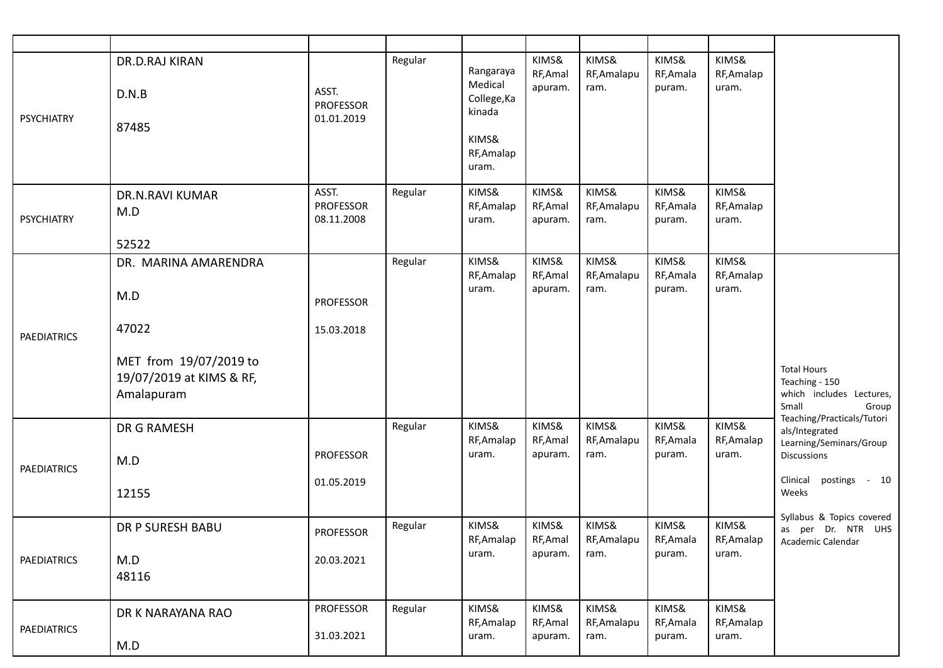| <b>PSYCHIATRY</b>  | DR.D.RAJ KIRAN<br>D.N.B<br>87485                                 | ASST.<br><b>PROFESSOR</b><br>01.01.2019 | Regular | Rangaraya<br>Medical<br>College, Ka<br>kinada<br>KIMS&<br>RF, Amalap<br>uram. | KIMS&<br>RF, Amal<br>apuram. | KIMS&<br>RF, Amalapu<br>ram. | KIMS&<br>RF, Amala<br>puram. | KIMS&<br>RF, Amalap<br>uram. |                                                                                                                           |
|--------------------|------------------------------------------------------------------|-----------------------------------------|---------|-------------------------------------------------------------------------------|------------------------------|------------------------------|------------------------------|------------------------------|---------------------------------------------------------------------------------------------------------------------------|
| <b>PSYCHIATRY</b>  | <b>DR.N.RAVI KUMAR</b><br>M.D<br>52522                           | ASST.<br><b>PROFESSOR</b><br>08.11.2008 | Regular | KIMS&<br>RF, Amalap<br>uram.                                                  | KIMS&<br>RF, Amal<br>apuram. | KIMS&<br>RF, Amalapu<br>ram. | KIMS&<br>RF, Amala<br>puram. | KIMS&<br>RF, Amalap<br>uram. |                                                                                                                           |
| <b>PAEDIATRICS</b> | DR. MARINA AMARENDRA<br>M.D<br>47022                             | <b>PROFESSOR</b><br>15.03.2018          | Regular | KIMS&<br>RF, Amalap<br>uram.                                                  | KIMS&<br>RF, Amal<br>apuram. | KIMS&<br>RF, Amalapu<br>ram. | KIMS&<br>RF, Amala<br>puram. | KIMS&<br>RF, Amalap<br>uram. |                                                                                                                           |
|                    | MET from 19/07/2019 to<br>19/07/2019 at KIMS & RF,<br>Amalapuram |                                         |         |                                                                               |                              |                              |                              |                              | <b>Total Hours</b><br>Teaching - 150<br>which includes Lectures,<br>Small<br>Group                                        |
| <b>PAEDIATRICS</b> | DR G RAMESH<br>M.D<br>12155                                      | <b>PROFESSOR</b><br>01.05.2019          | Regular | KIMS&<br>RF, Amalap<br>uram.                                                  | KIMS&<br>RF, Amal<br>apuram. | KIMS&<br>RF, Amalapu<br>ram. | KIMS&<br>RF, Amala<br>puram. | KIMS&<br>RF, Amalap<br>uram. | Teaching/Practicals/Tutori<br>als/Integrated<br>Learning/Seminars/Group<br>Discussions<br>Clinical postings - 10<br>Weeks |
| <b>PAEDIATRICS</b> | <b>DR P SURESH BABU</b><br>M.D<br>48116                          | PROFESSOR<br>20.03.2021                 | Regular | KIMS&<br>RF, Amalap<br>uram.                                                  | KIMS&<br>RF, Amal<br>apuram. | KIMS&<br>RF, Amalapu<br>ram. | KIMS&<br>RF, Amala<br>puram. | KIMS&<br>RF, Amalap<br>uram. | Syllabus & Topics covered<br>as per Dr. NTR UHS<br>Academic Calendar                                                      |
| <b>PAEDIATRICS</b> | DR K NARAYANA RAO<br>M.D                                         | <b>PROFESSOR</b><br>31.03.2021          | Regular | KIMS&<br>RF, Amalap<br>uram.                                                  | KIMS&<br>RF, Amal<br>apuram. | KIMS&<br>RF, Amalapu<br>ram. | KIMS&<br>RF, Amala<br>puram. | KIMS&<br>RF, Amalap<br>uram. |                                                                                                                           |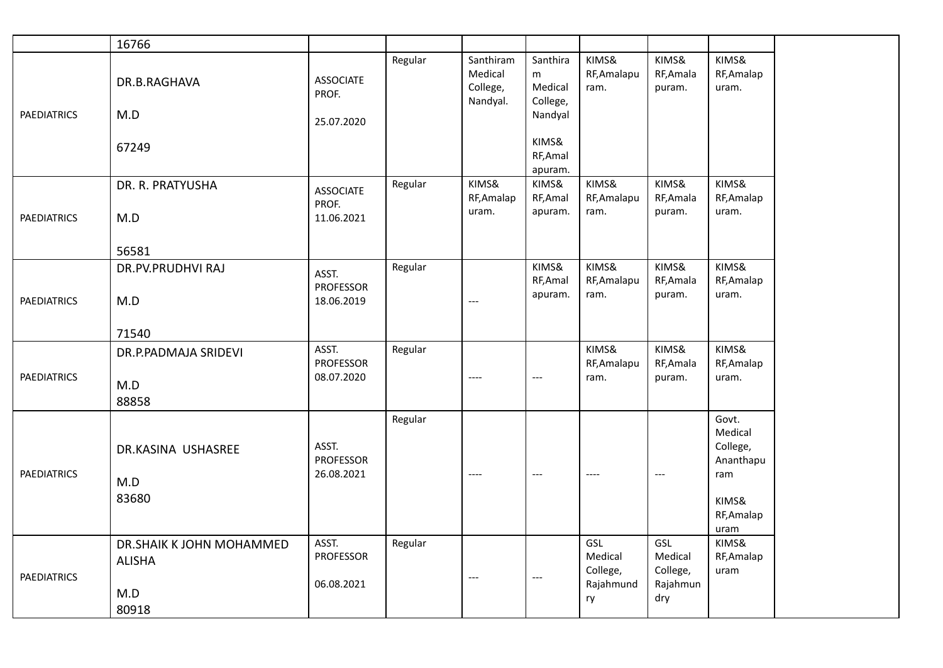|                    | 16766                                                     |                                         |         |                                              |                                                 |                                               |                                               |                                                                                 |
|--------------------|-----------------------------------------------------------|-----------------------------------------|---------|----------------------------------------------|-------------------------------------------------|-----------------------------------------------|-----------------------------------------------|---------------------------------------------------------------------------------|
| <b>PAEDIATRICS</b> | DR.B.RAGHAVA<br>M.D                                       | <b>ASSOCIATE</b><br>PROF.<br>25.07.2020 | Regular | Santhiram<br>Medical<br>College,<br>Nandyal. | Santhira<br>m<br>Medical<br>College,<br>Nandyal | KIMS&<br>RF, Amalapu<br>ram.                  | KIMS&<br>RF, Amala<br>puram.                  | KIMS&<br>RF, Amalap<br>uram.                                                    |
|                    | 67249                                                     |                                         |         |                                              | KIMS&<br>RF, Amal<br>apuram.                    |                                               |                                               |                                                                                 |
|                    | DR. R. PRATYUSHA                                          | <b>ASSOCIATE</b><br>PROF.               | Regular | KIMS&<br>RF, Amalap<br>uram.                 | KIMS&<br>RF, Amal<br>apuram.                    | KIMS&<br>RF, Amalapu<br>ram.                  | KIMS&<br>RF, Amala<br>puram.                  | KIMS&<br>RF, Amalap<br>uram.                                                    |
| <b>PAEDIATRICS</b> | M.D<br>56581                                              | 11.06.2021                              |         |                                              |                                                 |                                               |                                               |                                                                                 |
|                    | DR.PV.PRUDHVI RAJ                                         | ASST.<br><b>PROFESSOR</b>               | Regular |                                              | KIMS&<br>RF, Amal                               | KIMS&<br>RF, Amalapu                          | KIMS&<br>RF, Amala                            | KIMS&<br>RF, Amalap                                                             |
| <b>PAEDIATRICS</b> | M.D                                                       | 18.06.2019                              |         | $---$                                        | apuram.                                         | ram.                                          | puram.                                        | uram.                                                                           |
|                    | 71540                                                     |                                         |         |                                              |                                                 |                                               |                                               |                                                                                 |
| <b>PAEDIATRICS</b> | DR.P.PADMAJA SRIDEVI<br>M.D<br>88858                      | ASST.<br><b>PROFESSOR</b><br>08.07.2020 | Regular | $---$                                        | ---                                             | KIMS&<br>RF, Amalapu<br>ram.                  | KIMS&<br>RF, Amala<br>puram.                  | KIMS&<br>RF, Amalap<br>uram.                                                    |
| <b>PAEDIATRICS</b> | DR.KASINA USHASREE<br>M.D<br>83680                        | ASST.<br><b>PROFESSOR</b><br>26.08.2021 | Regular | $---$                                        | $---$                                           | $---$                                         | $---$                                         | Govt.<br>Medical<br>College,<br>Ananthapu<br>ram<br>KIMS&<br>RF, Amalap<br>uram |
| <b>PAEDIATRICS</b> | DR.SHAIK K JOHN MOHAMMED<br><b>ALISHA</b><br>M.D<br>80918 | ASST.<br><b>PROFESSOR</b><br>06.08.2021 | Regular | $---$                                        | ---                                             | GSL<br>Medical<br>College,<br>Rajahmund<br>ry | GSL<br>Medical<br>College,<br>Rajahmun<br>dry | KIMS&<br>RF, Amalap<br>uram                                                     |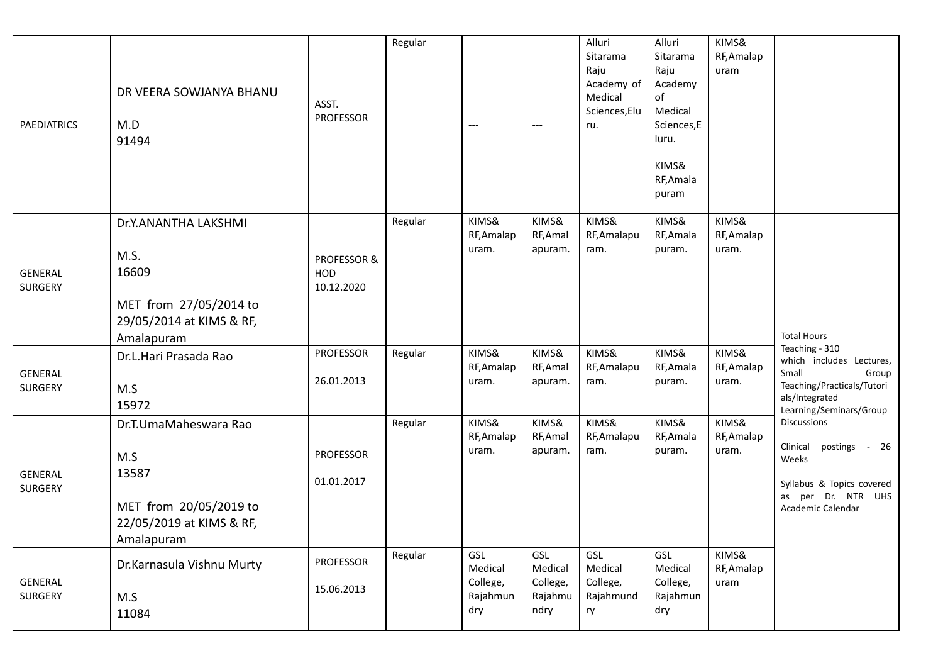| <b>PAEDIATRICS</b>        | DR VEERA SOWJANYA BHANU<br>M.D<br>91494                                                                   | ASST.<br><b>PROFESSOR</b>        | Regular | $---$                                         | $---$                                         | Alluri<br>Sitarama<br>Raju<br>Academy of<br>Medical<br>Sciences, Elu<br>ru. | Alluri<br>Sitarama<br>Raju<br>Academy<br>of<br>Medical<br>Sciences,E<br>luru.<br>KIMS&<br>RF, Amala<br>puram | KIMS&<br>RF, Amalap<br>uram  |                                                                                                                                         |
|---------------------------|-----------------------------------------------------------------------------------------------------------|----------------------------------|---------|-----------------------------------------------|-----------------------------------------------|-----------------------------------------------------------------------------|--------------------------------------------------------------------------------------------------------------|------------------------------|-----------------------------------------------------------------------------------------------------------------------------------------|
| <b>GENERAL</b><br>SURGERY | Dr.Y.ANANTHA LAKSHMI<br>M.S.<br>16609<br>MET from 27/05/2014 to<br>29/05/2014 at KIMS & RF,<br>Amalapuram | PROFESSOR &<br>HOD<br>10.12.2020 | Regular | KIMS&<br>RF, Amalap<br>uram.                  | KIMS&<br>RF, Amal<br>apuram.                  | KIMS&<br>RF, Amalapu<br>ram.                                                | KIMS&<br>RF, Amala<br>puram.                                                                                 | KIMS&<br>RF, Amalap<br>uram. | <b>Total Hours</b>                                                                                                                      |
| <b>GENERAL</b><br>SURGERY | Dr.L.Hari Prasada Rao<br>M.S<br>15972                                                                     | <b>PROFESSOR</b><br>26.01.2013   | Regular | KIMS&<br>RF, Amalap<br>uram.                  | KIMS&<br>RF, Amal<br>apuram.                  | KIMS&<br>RF, Amalapu<br>ram.                                                | KIMS&<br>RF, Amala<br>puram.                                                                                 | KIMS&<br>RF, Amalap<br>uram. | Teaching - 310<br>which includes Lectures,<br>Small<br>Group<br>Teaching/Practicals/Tutori<br>als/Integrated<br>Learning/Seminars/Group |
| <b>GENERAL</b><br>SURGERY | Dr.T.UmaMaheswara Rao<br>M.S<br>13587<br>MET from 20/05/2019 to<br>22/05/2019 at KIMS & RF,<br>Amalapuram | <b>PROFESSOR</b><br>01.01.2017   | Regular | KIMS&<br>RF, Amalap<br>uram.                  | KIMS&<br>RF, Amal<br>apuram.                  | KIMS&<br>RF, Amalapu<br>ram.                                                | KIMS&<br>RF, Amala<br>puram.                                                                                 | KIMS&<br>RF, Amalap<br>uram. | <b>Discussions</b><br>Clinical<br>postings<br>- 26<br>Weeks<br>Syllabus & Topics covered<br>as per Dr. NTR UHS<br>Academic Calendar     |
| <b>GENERAL</b><br>SURGERY | Dr.Karnasula Vishnu Murty<br>M.S<br>11084                                                                 | <b>PROFESSOR</b><br>15.06.2013   | Regular | GSL<br>Medical<br>College,<br>Rajahmun<br>dry | GSL<br>Medical<br>College,<br>Rajahmu<br>ndry | GSL<br>Medical<br>College,<br>Rajahmund<br>ry                               | GSL<br>Medical<br>College,<br>Rajahmun<br>dry                                                                | KIMS&<br>RF, Amalap<br>uram  |                                                                                                                                         |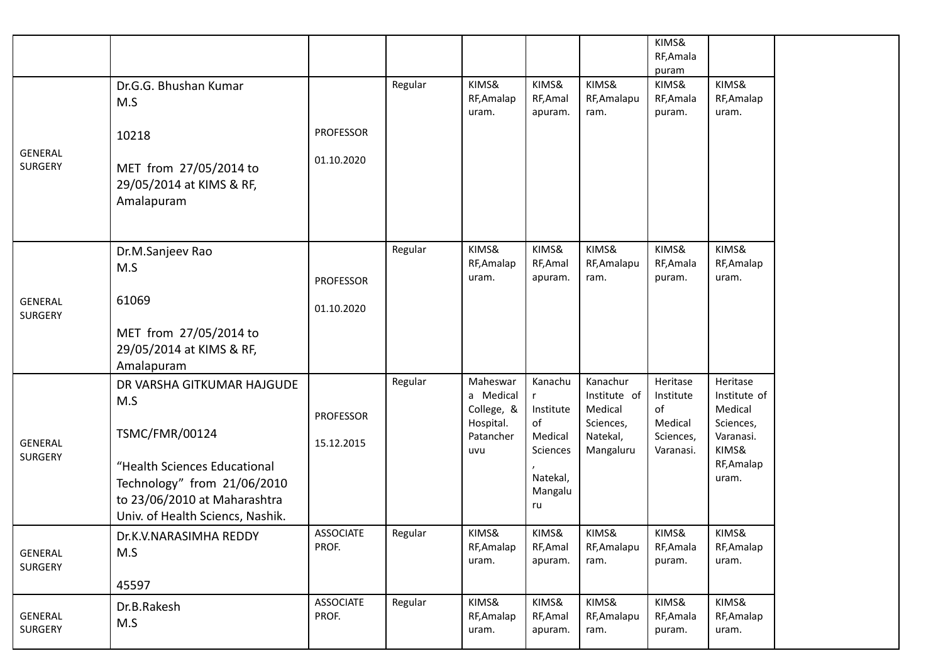|                                  |                                                                                                                                 |                           |         |                                                  |                              |                                                  | KIMS&<br>RF, Amala<br>puram            |                                                  |
|----------------------------------|---------------------------------------------------------------------------------------------------------------------------------|---------------------------|---------|--------------------------------------------------|------------------------------|--------------------------------------------------|----------------------------------------|--------------------------------------------------|
|                                  | Dr.G.G. Bhushan Kumar<br>M.S                                                                                                    |                           | Regular | KIMS&<br>RF, Amalap<br>uram.                     | KIMS&<br>RF, Amal<br>apuram. | KIMS&<br>RF, Amalapu<br>ram.                     | KIMS&<br>RF, Amala<br>puram.           | KIMS&<br>RF, Amalap<br>uram.                     |
| <b>GENERAL</b>                   | 10218                                                                                                                           | <b>PROFESSOR</b>          |         |                                                  |                              |                                                  |                                        |                                                  |
| <b>SURGERY</b>                   | MET from 27/05/2014 to<br>29/05/2014 at KIMS & RF,<br>Amalapuram                                                                | 01.10.2020                |         |                                                  |                              |                                                  |                                        |                                                  |
|                                  | Dr.M.Sanjeev Rao<br>M.S                                                                                                         | <b>PROFESSOR</b>          | Regular | KIMS&<br>RF, Amalap<br>uram.                     | KIMS&<br>RF, Amal<br>apuram. | KIMS&<br>RF, Amalapu<br>ram.                     | KIMS&<br>RF, Amala<br>puram.           | KIMS&<br>RF, Amalap<br>uram.                     |
| <b>GENERAL</b><br><b>SURGERY</b> | 61069                                                                                                                           | 01.10.2020                |         |                                                  |                              |                                                  |                                        |                                                  |
|                                  | MET from 27/05/2014 to<br>29/05/2014 at KIMS & RF,<br>Amalapuram                                                                |                           |         |                                                  |                              |                                                  |                                        |                                                  |
|                                  | DR VARSHA GITKUMAR HAJGUDE<br>M.S                                                                                               | <b>PROFESSOR</b>          | Regular | Maheswar<br>a Medical<br>College, &<br>Hospital. | Kanachu<br>Institute<br>of   | Kanachur<br>Institute of<br>Medical<br>Sciences, | Heritase<br>Institute<br>of<br>Medical | Heritase<br>Institute of<br>Medical<br>Sciences, |
| <b>GENERAL</b><br><b>SURGERY</b> | <b>TSMC/FMR/00124</b>                                                                                                           | 15.12.2015                |         | Patancher<br>uvu                                 | Medical<br>Sciences          | Natekal,<br>Mangaluru                            | Sciences,<br>Varanasi.                 | Varanasi.<br>KIMS&                               |
|                                  | "Health Sciences Educational<br>Technology" from 21/06/2010<br>to 23/06/2010 at Maharashtra<br>Univ. of Health Sciencs, Nashik. |                           |         |                                                  | Natekal,<br>Mangalu<br>ru    |                                                  |                                        | RF, Amalap<br>uram.                              |
| GENERAL<br><b>SURGERY</b>        | Dr.K.V.NARASIMHA REDDY<br>M.S                                                                                                   | <b>ASSOCIATE</b><br>PROF. | Regular | KIMS&<br>RF, Amalap<br>uram.                     | KIMS&<br>RF, Amal<br>apuram. | KIMS&<br>RF, Amalapu<br>ram.                     | KIMS&<br>RF, Amala<br>puram.           | KIMS&<br>RF, Amalap<br>uram.                     |
|                                  | 45597                                                                                                                           |                           |         |                                                  |                              |                                                  |                                        |                                                  |
| <b>GENERAL</b><br><b>SURGERY</b> | Dr.B.Rakesh<br>M.S                                                                                                              | <b>ASSOCIATE</b><br>PROF. | Regular | KIMS&<br>RF, Amalap<br>uram.                     | KIMS&<br>RF, Amal<br>apuram. | KIMS&<br>RF, Amalapu<br>ram.                     | KIMS&<br>RF, Amala<br>puram.           | KIMS&<br>RF, Amalap<br>uram.                     |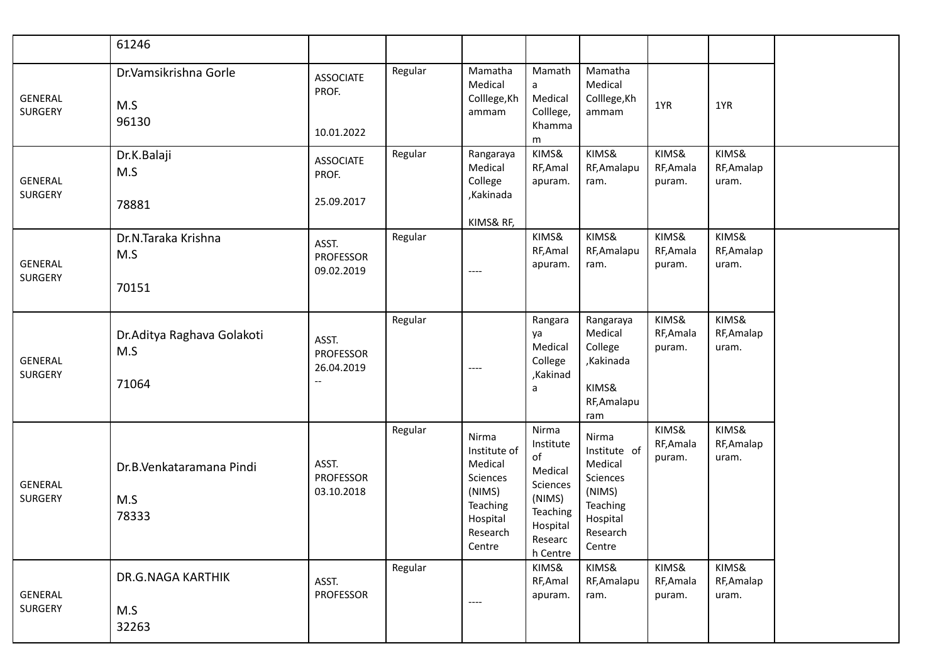|                           | 61246                                       |                                         |         |                                                                                                      |                                                                                                          |                                                                                                      |                              |                              |  |
|---------------------------|---------------------------------------------|-----------------------------------------|---------|------------------------------------------------------------------------------------------------------|----------------------------------------------------------------------------------------------------------|------------------------------------------------------------------------------------------------------|------------------------------|------------------------------|--|
| <b>GENERAL</b><br>SURGERY | Dr.Vamsikrishna Gorle<br>M.S<br>96130       | <b>ASSOCIATE</b><br>PROF.<br>10.01.2022 | Regular | Mamatha<br>Medical<br>Colllege, Kh<br>ammam                                                          | Mamath<br>a<br>Medical<br>Colllege,<br>Khamma<br>m                                                       | Mamatha<br>Medical<br>Colllege, Kh<br>ammam                                                          | 1YR                          | 1YR                          |  |
| <b>GENERAL</b><br>SURGERY | Dr.K.Balaji<br>M.S<br>78881                 | <b>ASSOCIATE</b><br>PROF.<br>25.09.2017 | Regular | Rangaraya<br>Medical<br>College<br>,Kakinada<br>KIMS& RF,                                            | KIMS&<br>RF, Amal<br>apuram.                                                                             | KIMS&<br>RF, Amalapu<br>ram.                                                                         | KIMS&<br>RF, Amala<br>puram. | KIMS&<br>RF, Amalap<br>uram. |  |
| <b>GENERAL</b><br>SURGERY | Dr.N.Taraka Krishna<br>M.S<br>70151         | ASST.<br><b>PROFESSOR</b><br>09.02.2019 | Regular | ----                                                                                                 | KIMS&<br>RF, Amal<br>apuram.                                                                             | KIMS&<br>RF, Amalapu<br>ram.                                                                         | KIMS&<br>RF, Amala<br>puram. | KIMS&<br>RF, Amalap<br>uram. |  |
| <b>GENERAL</b><br>SURGERY | Dr. Aditya Raghava Golakoti<br>M.S<br>71064 | ASST.<br><b>PROFESSOR</b><br>26.04.2019 | Regular | ----                                                                                                 | Rangara<br>ya<br>Medical<br>College<br>,Kakinad<br>a                                                     | Rangaraya<br>Medical<br>College<br>,Kakinada<br>KIMS&<br>RF, Amalapu<br>ram                          | KIMS&<br>RF, Amala<br>puram. | KIMS&<br>RF, Amalap<br>uram. |  |
| <b>GENERAL</b><br>SURGERY | Dr.B.Venkataramana Pindi<br>M.S<br>78333    | ASST.<br><b>PROFESSOR</b><br>03.10.2018 | Regular | Nirma<br>Institute of<br>Medical<br>Sciences<br>(NIMS)<br>Teaching<br>Hospital<br>Research<br>Centre | Nirma<br>Institute<br>of<br>Medical<br>Sciences<br>(NIMS)<br>Teaching<br>Hospital<br>Researc<br>h Centre | Nirma<br>Institute of<br>Medical<br>Sciences<br>(NIMS)<br>Teaching<br>Hospital<br>Research<br>Centre | KIMS&<br>RF, Amala<br>puram. | KIMS&<br>RF, Amalap<br>uram. |  |
| <b>GENERAL</b><br>SURGERY | <b>DR.G.NAGA KARTHIK</b><br>M.S<br>32263    | ASST.<br>PROFESSOR                      | Regular | ----                                                                                                 | KIMS&<br>RF, Amal<br>apuram.                                                                             | KIMS&<br>RF, Amalapu<br>ram.                                                                         | KIMS&<br>RF, Amala<br>puram. | KIMS&<br>RF, Amalap<br>uram. |  |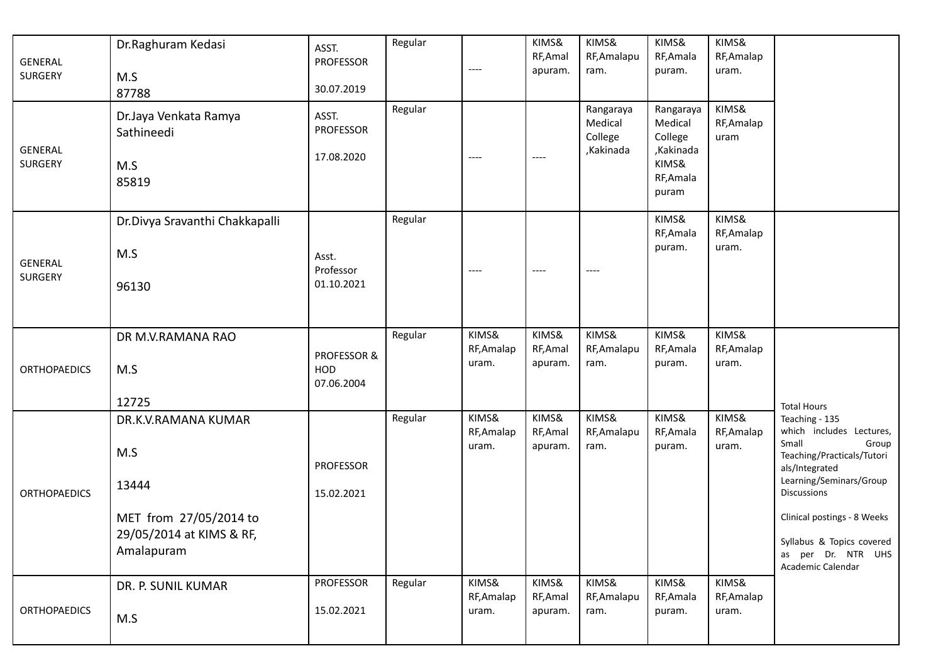| <b>GENERAL</b><br><b>SURGERY</b><br><b>GENERAL</b><br><b>SURGERY</b> | Dr.Raghuram Kedasi<br>M.S<br>87788<br>Dr.Jaya Venkata Ramya<br>Sathineedi<br>M.S<br>85819               | ASST.<br><b>PROFESSOR</b><br>30.07.2019<br>ASST.<br>PROFESSOR<br>17.08.2020 | Regular<br>Regular | $---$<br>$---$               | KIMS&<br>RF, Amal<br>apuram.<br>$---$ | KIMS&<br>RF, Amalapu<br>ram.<br>Rangaraya<br>Medical<br>College<br>,Kakinada | KIMS&<br>RF, Amala<br>puram.<br>Rangaraya<br>Medical<br>College<br>,Kakinada<br>KIMS&<br>RF, Amala<br>puram | KIMS&<br>RF, Amalap<br>uram.<br>KIMS&<br>RF, Amalap<br>uram |                                                                                                                                                                                                                                                               |
|----------------------------------------------------------------------|---------------------------------------------------------------------------------------------------------|-----------------------------------------------------------------------------|--------------------|------------------------------|---------------------------------------|------------------------------------------------------------------------------|-------------------------------------------------------------------------------------------------------------|-------------------------------------------------------------|---------------------------------------------------------------------------------------------------------------------------------------------------------------------------------------------------------------------------------------------------------------|
| <b>GENERAL</b><br><b>SURGERY</b>                                     | Dr.Divya Sravanthi Chakkapalli<br>M.S<br>96130                                                          | Asst.<br>Professor<br>01.10.2021                                            | Regular            | $---$                        | $---$                                 | $---$                                                                        | KIMS&<br>RF, Amala<br>puram.                                                                                | KIMS&<br>RF, Amalap<br>uram.                                |                                                                                                                                                                                                                                                               |
| <b>ORTHOPAEDICS</b>                                                  | DR M.V.RAMANA RAO<br>M.S<br>12725                                                                       | PROFESSOR &<br>HOD<br>07.06.2004                                            | Regular            | KIMS&<br>RF, Amalap<br>uram. | KIMS&<br>RF, Amal<br>apuram.          | KIMS&<br>RF, Amalapu<br>ram.                                                 | KIMS&<br>RF, Amala<br>puram.                                                                                | KIMS&<br>RF, Amalap<br>uram.                                | <b>Total Hours</b>                                                                                                                                                                                                                                            |
| <b>ORTHOPAEDICS</b>                                                  | DR.K.V.RAMANA KUMAR<br>M.S<br>13444<br>MET from 27/05/2014 to<br>29/05/2014 at KIMS & RF,<br>Amalapuram | <b>PROFESSOR</b><br>15.02.2021                                              | Regular            | KIMS&<br>RF, Amalap<br>uram. | KIMS&<br>RF, Amal<br>apuram.          | KIMS&<br>RF, Amalapu<br>ram.                                                 | KIMS&<br>RF, Amala<br>puram.                                                                                | KIMS&<br>RF, Amalap<br>uram.                                | Teaching - 135<br>which includes Lectures,<br>Small<br>Group<br>Teaching/Practicals/Tutori<br>als/Integrated<br>Learning/Seminars/Group<br>Discussions<br>Clinical postings - 8 Weeks<br>Syllabus & Topics covered<br>as per Dr. NTR UHS<br>Academic Calendar |
| <b>ORTHOPAEDICS</b>                                                  | DR. P. SUNIL KUMAR<br>M.S                                                                               | PROFESSOR<br>15.02.2021                                                     | Regular            | KIMS&<br>RF, Amalap<br>uram. | KIMS&<br>RF, Amal<br>apuram.          | KIMS&<br>RF, Amalapu<br>ram.                                                 | KIMS&<br>RF, Amala<br>puram.                                                                                | KIMS&<br>RF, Amalap<br>uram.                                |                                                                                                                                                                                                                                                               |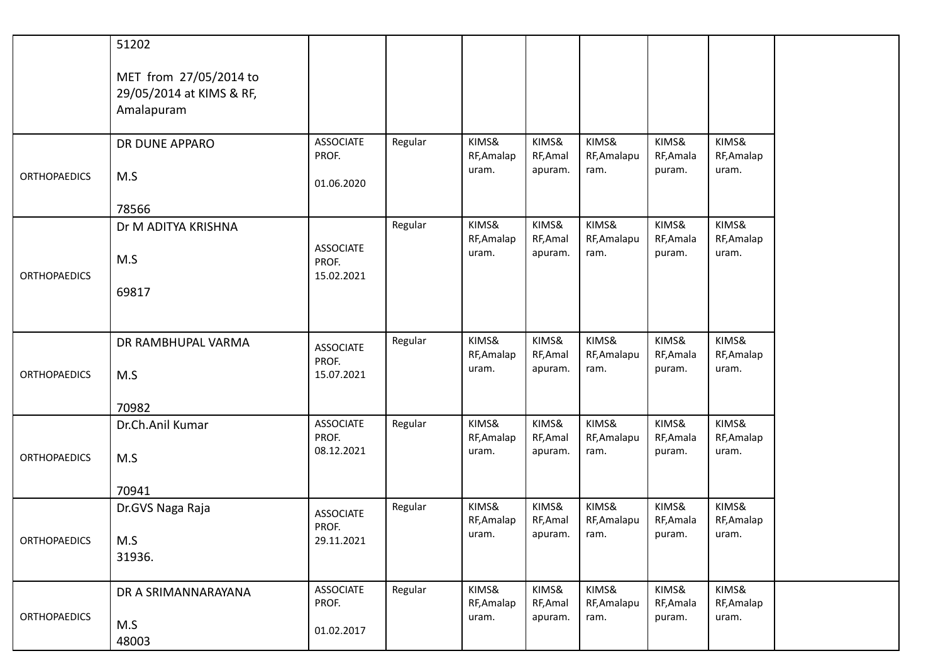|                     | 51202                                                            |                                         |         |                              |                                       |                              |                              |                              |
|---------------------|------------------------------------------------------------------|-----------------------------------------|---------|------------------------------|---------------------------------------|------------------------------|------------------------------|------------------------------|
|                     | MET from 27/05/2014 to<br>29/05/2014 at KIMS & RF,<br>Amalapuram |                                         |         |                              |                                       |                              |                              |                              |
| <b>ORTHOPAEDICS</b> | DR DUNE APPARO<br>M.S                                            | <b>ASSOCIATE</b><br>PROF.<br>01.06.2020 | Regular | KIMS&<br>RF, Amalap<br>uram. | KIMS&<br>RF, Amal<br>apuram.          | KIMS&<br>RF, Amalapu<br>ram. | KIMS&<br>RF, Amala<br>puram. | KIMS&<br>RF, Amalap<br>uram. |
|                     | 78566                                                            |                                         |         |                              |                                       |                              |                              |                              |
| <b>ORTHOPAEDICS</b> | Dr M ADITYA KRISHNA<br>M.S<br>69817                              | <b>ASSOCIATE</b><br>PROF.<br>15.02.2021 | Regular | KIMS&<br>RF, Amalap<br>uram. | KIMS&<br>RF, Amal<br>apuram.          | KIMS&<br>RF, Amalapu<br>ram. | KIMS&<br>RF, Amala<br>puram. | KIMS&<br>RF, Amalap<br>uram. |
|                     |                                                                  |                                         |         |                              |                                       |                              |                              |                              |
| <b>ORTHOPAEDICS</b> | DR RAMBHUPAL VARMA<br>M.S                                        | <b>ASSOCIATE</b><br>PROF.<br>15.07.2021 | Regular | KIMS&<br>RF, Amalap<br>uram. | KIMS&<br>RF, Amal<br>apuram.          | KIMS&<br>RF, Amalapu<br>ram. | KIMS&<br>RF, Amala<br>puram. | KIMS&<br>RF, Amalap<br>uram. |
|                     | 70982                                                            |                                         |         |                              |                                       |                              |                              |                              |
| <b>ORTHOPAEDICS</b> | Dr.Ch.Anil Kumar<br>M.S                                          | <b>ASSOCIATE</b><br>PROF.<br>08.12.2021 | Regular | KIMS&<br>RF, Amalap<br>uram. | KIMS&<br>RF, Amal<br>apuram.          | KIMS&<br>RF, Amalapu<br>ram. | KIMS&<br>RF, Amala<br>puram. | KIMS&<br>RF, Amalap<br>uram. |
|                     | 70941                                                            |                                         |         |                              |                                       |                              |                              |                              |
|                     | Dr.GVS Naga Raja                                                 | <b>ASSOCIATE</b><br>PROF.               | Regular | KIMS&<br>RF, Amalap<br>uram. | KIMS&<br>RF, Amal<br>apuram. $ $ ram. | KIMS&<br>RF, Amalapu         | KIMS&<br>RF, Amala<br>puram. | KIMS&<br>RF, Amalap<br>uram. |
| <b>ORTHOPAEDICS</b> | M.S<br>31936.                                                    | 29.11.2021                              |         |                              |                                       |                              |                              |                              |
| <b>ORTHOPAEDICS</b> | DR A SRIMANNARAYANA                                              | <b>ASSOCIATE</b><br>PROF.               | Regular | KIMS&<br>RF, Amalap<br>uram. | KIMS&<br>RF, Amal<br>apuram.          | KIMS&<br>RF, Amalapu<br>ram. | KIMS&<br>RF, Amala<br>puram. | KIMS&<br>RF, Amalap<br>uram. |
|                     | M.S<br>48003                                                     | 01.02.2017                              |         |                              |                                       |                              |                              |                              |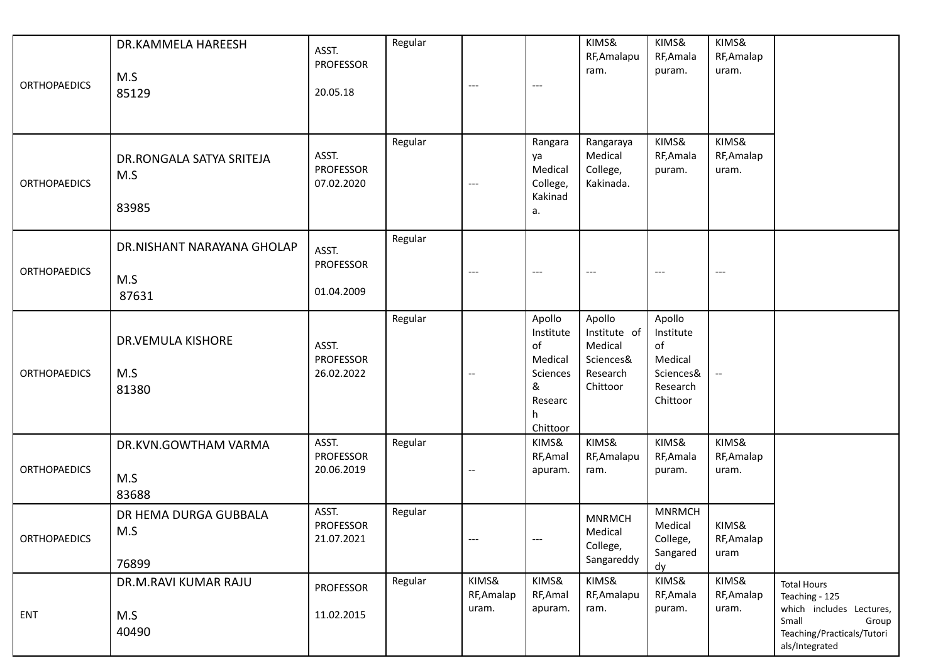| <b>ORTHOPAEDICS</b> | DR.KAMMELA HAREESH<br>M.S<br>85129         | ASST.<br><b>PROFESSOR</b><br>20.05.18   | Regular | $---$                        | ---                                                                                | KIMS&<br>RF, Amalapu<br>ram.                                           | KIMS&<br>RF, Amala<br>puram.                                              | KIMS&<br>RF, Amalap<br>uram. |                                                                                                                                    |
|---------------------|--------------------------------------------|-----------------------------------------|---------|------------------------------|------------------------------------------------------------------------------------|------------------------------------------------------------------------|---------------------------------------------------------------------------|------------------------------|------------------------------------------------------------------------------------------------------------------------------------|
| <b>ORTHOPAEDICS</b> | DR.RONGALA SATYA SRITEJA<br>M.S<br>83985   | ASST.<br><b>PROFESSOR</b><br>07.02.2020 | Regular | $\cdots$                     | Rangara<br>ya<br>Medical<br>College,<br>Kakinad<br>a.                              | Rangaraya<br>Medical<br>College,<br>Kakinada.                          | KIMS&<br>RF, Amala<br>puram.                                              | KIMS&<br>RF, Amalap<br>uram. |                                                                                                                                    |
| <b>ORTHOPAEDICS</b> | DR.NISHANT NARAYANA GHOLAP<br>M.S<br>87631 | ASST.<br><b>PROFESSOR</b><br>01.04.2009 | Regular | ---                          | $---$                                                                              | $---$                                                                  | $---$                                                                     | $---$                        |                                                                                                                                    |
| <b>ORTHOPAEDICS</b> | <b>DR.VEMULA KISHORE</b><br>M.S<br>81380   | ASST.<br><b>PROFESSOR</b><br>26.02.2022 | Regular | $\overline{\phantom{a}}$     | Apollo<br>Institute<br>of<br>Medical<br>Sciences<br>&<br>Researc<br>h.<br>Chittoor | Apollo<br>Institute of<br>Medical<br>Sciences&<br>Research<br>Chittoor | Apollo<br>Institute<br>of<br>Medical<br>Sciences&<br>Research<br>Chittoor |                              |                                                                                                                                    |
| <b>ORTHOPAEDICS</b> | DR.KVN.GOWTHAM VARMA<br>M.S<br>83688       | ASST.<br><b>PROFESSOR</b><br>20.06.2019 | Regular | $\overline{\phantom{a}}$     | KIMS&<br>RF, Amal<br>apuram.                                                       | KIMS&<br>RF, Amalapu<br>ram.                                           | KIMS&<br>RF, Amala<br>puram.                                              | KIMS&<br>RF, Amalap<br>uram. |                                                                                                                                    |
| <b>ORTHOPAEDICS</b> | DR HEMA DURGA GUBBALA<br>M.S<br>76899      | ASST.<br><b>PROFESSOR</b><br>21.07.2021 | Regular | ---                          | $-\, -\, -$                                                                        | <b>MNRMCH</b><br>Medical<br>College,<br>Sangareddy                     | <b>MNRMCH</b><br>Medical<br>College,<br>Sangared<br>dy                    | KIMS&<br>RF, Amalap<br>uram  |                                                                                                                                    |
| ENT                 | DR.M.RAVI KUMAR RAJU<br>M.S<br>40490       | <b>PROFESSOR</b><br>11.02.2015          | Regular | KIMS&<br>RF, Amalap<br>uram. | KIMS&<br>RF, Amal<br>apuram.                                                       | KIMS&<br>RF, Amalapu<br>ram.                                           | KIMS&<br>RF, Amala<br>puram.                                              | KIMS&<br>RF, Amalap<br>uram. | <b>Total Hours</b><br>Teaching - 125<br>which includes Lectures,<br>Small<br>Group<br>Teaching/Practicals/Tutori<br>als/Integrated |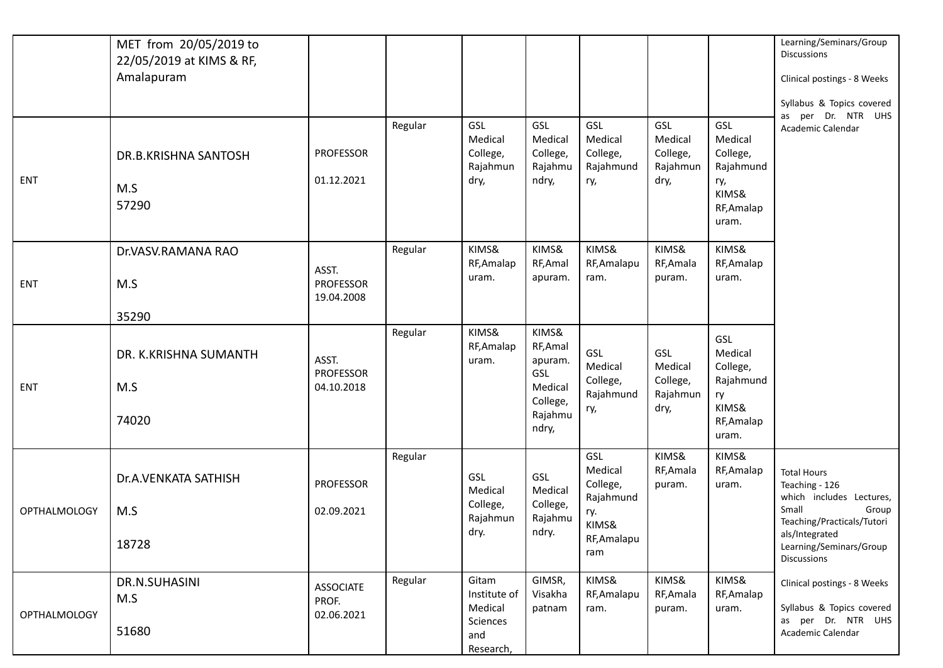|                     | MET from 20/05/2019 to<br>22/05/2019 at KIMS & RF,<br>Amalapuram |                                         | Regular | GSL                                                                     | GSL                                                                            | GSL                                                                           | GSL                                            | GSL                                                                           | Learning/Seminars/Group<br><b>Discussions</b><br>Clinical postings - 8 Weeks<br>Syllabus & Topics covered<br>per Dr. NTR UHS<br>as                                                  |
|---------------------|------------------------------------------------------------------|-----------------------------------------|---------|-------------------------------------------------------------------------|--------------------------------------------------------------------------------|-------------------------------------------------------------------------------|------------------------------------------------|-------------------------------------------------------------------------------|-------------------------------------------------------------------------------------------------------------------------------------------------------------------------------------|
| ENT                 | DR.B.KRISHNA SANTOSH<br>M.S<br>57290                             | <b>PROFESSOR</b><br>01.12.2021          |         | Medical<br>College,<br>Rajahmun<br>dry,                                 | Medical<br>College,<br>Rajahmu<br>ndry,                                        | Medical<br>College,<br>Rajahmund<br>ry,                                       | Medical<br>College,<br>Rajahmun<br>dry,        | Medical<br>College,<br>Rajahmund<br>ry,<br>KIMS&<br>RF, Amalap<br>uram.       | Academic Calendar                                                                                                                                                                   |
| <b>ENT</b>          | Dr.VASV.RAMANA RAO<br>M.S<br>35290                               | ASST.<br><b>PROFESSOR</b><br>19.04.2008 | Regular | KIMS&<br>RF, Amalap<br>uram.                                            | KIMS&<br>RF, Amal<br>apuram.                                                   | KIMS&<br>RF, Amalapu<br>ram.                                                  | KIMS&<br>RF, Amala<br>puram.                   | KIMS&<br>RF, Amalap<br>uram.                                                  |                                                                                                                                                                                     |
| ENT                 | DR. K.KRISHNA SUMANTH<br>M.S<br>74020                            | ASST.<br>PROFESSOR<br>04.10.2018        | Regular | KIMS&<br>RF, Amalap<br>uram.                                            | KIMS&<br>RF, Amal<br>apuram.<br>GSL<br>Medical<br>College,<br>Rajahmu<br>ndry, | GSL<br>Medical<br>College,<br>Rajahmund<br>ry,                                | GSL<br>Medical<br>College,<br>Rajahmun<br>dry, | GSL<br>Medical<br>College,<br>Rajahmund<br>ry<br>KIMS&<br>RF, Amalap<br>uram. |                                                                                                                                                                                     |
| <b>OPTHALMOLOGY</b> | Dr.A.VENKATA SATHISH<br>M.S<br>18728                             | PROFESSOR<br>02.09.2021                 | Regular | GSL<br>Medical<br>College,<br>Rajahmun<br>dry.                          | GSL<br>Medical<br>College,<br>Rajahmu<br>ndry.                                 | GSL<br>Medical<br>College,<br>Rajahmund<br>ry.<br>KIMS&<br>RF, Amalapu<br>ram | KIMS&<br>RF, Amala<br>puram.                   | KIMS&<br>RF, Amalap<br>uram.                                                  | <b>Total Hours</b><br>Teaching - 126<br>which includes Lectures,<br>Small<br>Group<br>Teaching/Practicals/Tutori<br>als/Integrated<br>Learning/Seminars/Group<br><b>Discussions</b> |
| <b>OPTHALMOLOGY</b> | DR.N.SUHASINI<br>M.S<br>51680                                    | <b>ASSOCIATE</b><br>PROF.<br>02.06.2021 | Regular | Gitam<br>Institute of<br>Medical<br><b>Sciences</b><br>and<br>Research, | GIMSR,<br>Visakha<br>patnam                                                    | KIMS&<br>RF, Amalapu<br>ram.                                                  | KIMS&<br>RF, Amala<br>puram.                   | KIMS&<br>RF, Amalap<br>uram.                                                  | Clinical postings - 8 Weeks<br>Syllabus & Topics covered<br>as per Dr. NTR UHS<br>Academic Calendar                                                                                 |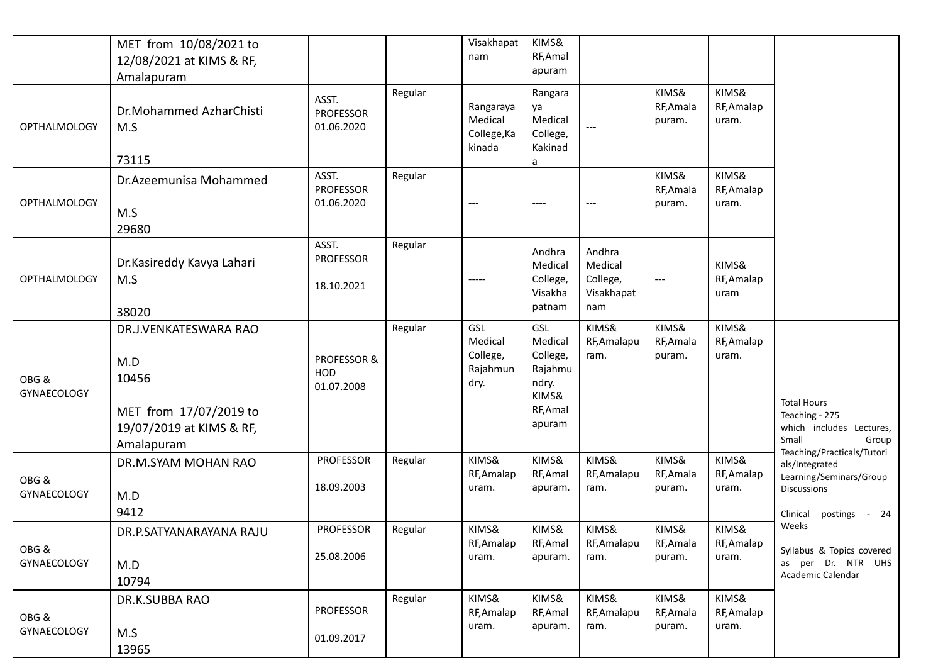|                            | MET from 10/08/2021 to<br>12/08/2021 at KIMS & RF,<br>Amalapuram                                          |                                             |         | Visakhapat<br>nam                              | KIMS&<br>RF, Amal<br>apuram                                                   |                                                    |                              |                              |                                                                                                                         |
|----------------------------|-----------------------------------------------------------------------------------------------------------|---------------------------------------------|---------|------------------------------------------------|-------------------------------------------------------------------------------|----------------------------------------------------|------------------------------|------------------------------|-------------------------------------------------------------------------------------------------------------------------|
| <b>OPTHALMOLOGY</b>        | Dr.Mohammed AzharChisti<br>M.S<br>73115                                                                   | ASST.<br><b>PROFESSOR</b><br>01.06.2020     | Regular | Rangaraya<br>Medical<br>College, Ka<br>kinada  | Rangara<br>ya<br>Medical<br>College,<br>Kakinad<br>a                          |                                                    | KIMS&<br>RF, Amala<br>puram. | KIMS&<br>RF, Amalap<br>uram. |                                                                                                                         |
| <b>OPTHALMOLOGY</b>        | Dr.Azeemunisa Mohammed<br>M.S<br>29680                                                                    | ASST.<br><b>PROFESSOR</b><br>01.06.2020     | Regular | $\hspace{0.05cm}---$                           | ----                                                                          | $---$                                              | KIMS&<br>RF, Amala<br>puram. | KIMS&<br>RF, Amalap<br>uram. |                                                                                                                         |
| <b>OPTHALMOLOGY</b>        | Dr.Kasireddy Kavya Lahari<br>M.S<br>38020                                                                 | ASST.<br><b>PROFESSOR</b><br>18.10.2021     | Regular | $- - - - -$                                    | Andhra<br>Medical<br>College,<br>Visakha<br>patnam                            | Andhra<br>Medical<br>College,<br>Visakhapat<br>nam | $---$                        | KIMS&<br>RF, Amalap<br>uram  |                                                                                                                         |
| OBG&<br><b>GYNAECOLOGY</b> | DR.J.VENKATESWARA RAO<br>M.D<br>10456<br>MET from 17/07/2019 to<br>19/07/2019 at KIMS & RF,<br>Amalapuram | <b>PROFESSOR &amp;</b><br>HOD<br>01.07.2008 | Regular | GSL<br>Medical<br>College,<br>Rajahmun<br>dry. | GSL<br>Medical<br>College,<br>Rajahmu<br>ndry.<br>KIMS&<br>RF, Amal<br>apuram | KIMS&<br>RF, Amalapu<br>ram.                       | KIMS&<br>RF, Amala<br>puram. | KIMS&<br>RF, Amalap<br>uram. | <b>Total Hours</b><br>Teaching - 275<br>which includes Lectures,<br>Small<br>Group                                      |
| OBG&<br>GYNAECOLOGY        | DR.M.SYAM MOHAN RAO<br>M.D<br>9412                                                                        | <b>PROFESSOR</b><br>18.09.2003              | Regular | KIMS&<br>RF, Amalap<br>uram.                   | KIMS&<br>RF, Amal<br>apuram.                                                  | KIMS&<br>RF, Amalapu<br>ram.                       | KIMS&<br>RF, Amala<br>puram. | KIMS&<br>RF, Amalap<br>uram. | Teaching/Practicals/Tutori<br>als/Integrated<br>Learning/Seminars/Group<br>Discussions<br>Clinical<br>postings<br>$-24$ |
| OBG &<br>GYNAECOLOGY       | DR.P.SATYANARAYANA RAJU<br>M.D<br>10794                                                                   | <b>PROFESSOR</b><br>25.08.2006              | Regular | KIMS&<br>RF, Amalap<br>uram.                   | KIMS&<br>RF, Amal<br>apuram.                                                  | KIMS&<br>RF, Amalapu<br>ram.                       | KIMS&<br>RF, Amala<br>puram. | KIMS&<br>RF, Amalap<br>uram. | Weeks<br>Syllabus & Topics covered<br>as per Dr. NTR UHS<br>Academic Calendar                                           |
| OBG &<br>GYNAECOLOGY       | DR.K.SUBBA RAO<br>M.S<br>13965                                                                            | <b>PROFESSOR</b><br>01.09.2017              | Regular | KIMS&<br>RF, Amalap<br>uram.                   | KIMS&<br>RF, Amal<br>apuram.                                                  | KIMS&<br>RF, Amalapu<br>ram.                       | KIMS&<br>RF, Amala<br>puram. | KIMS&<br>RF, Amalap<br>uram. |                                                                                                                         |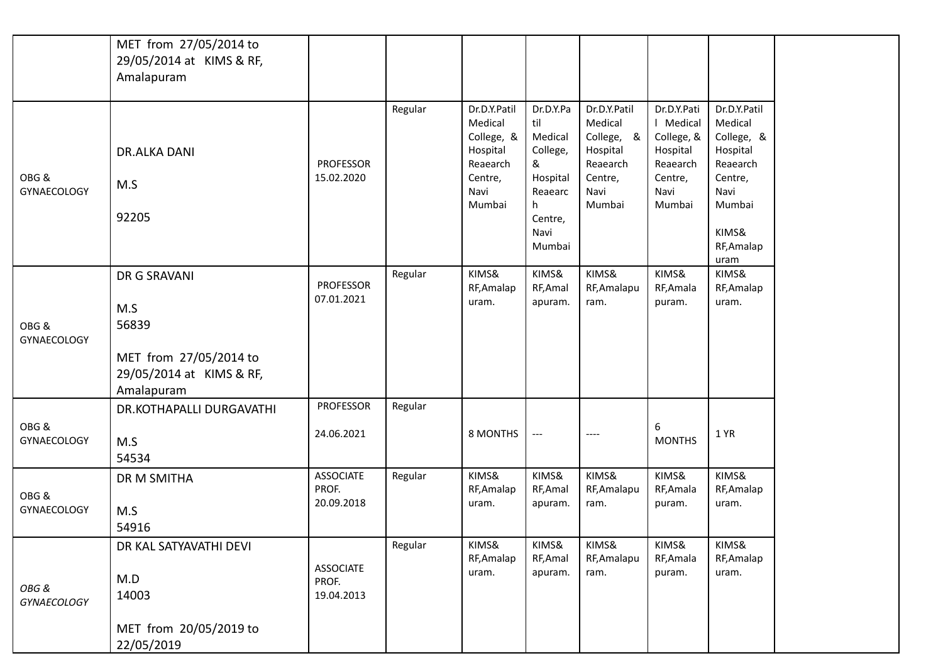|                     | MET from 27/05/2014 to   |                  |         |                        |                   |                       |                        |                       |
|---------------------|--------------------------|------------------|---------|------------------------|-------------------|-----------------------|------------------------|-----------------------|
|                     | 29/05/2014 at KIMS & RF, |                  |         |                        |                   |                       |                        |                       |
|                     | Amalapuram               |                  |         |                        |                   |                       |                        |                       |
|                     |                          |                  |         |                        |                   |                       |                        |                       |
|                     |                          |                  | Regular | Dr.D.Y.Patil           | Dr.D.Y.Pa         | Dr.D.Y.Patil          | Dr.D.Y.Pati            | Dr.D.Y.Patil          |
|                     |                          |                  |         | Medical                | til<br>Medical    | Medical<br>College, & | Medical                | Medical<br>College, & |
|                     | <b>DR.ALKA DANI</b>      |                  |         | College, &<br>Hospital | College,          | Hospital              | College, &<br>Hospital | Hospital              |
|                     |                          | <b>PROFESSOR</b> |         | Reaearch               | &                 | Reaearch              | Reaearch               | Reaearch              |
| OBG&                | M.S                      | 15.02.2020       |         | Centre,                | Hospital          | Centre,               | Centre,                | Centre,               |
| <b>GYNAECOLOGY</b>  |                          |                  |         | Navi                   | Reaearc           | Navi                  | Navi                   | Navi                  |
|                     | 92205                    |                  |         | Mumbai                 | h.<br>Centre,     | Mumbai                | Mumbai                 | Mumbai                |
|                     |                          |                  |         |                        | Navi              |                       |                        | KIMS&                 |
|                     |                          |                  |         |                        | Mumbai            |                       |                        | RF, Amalap            |
|                     |                          |                  |         |                        |                   |                       |                        | uram                  |
|                     | DR G SRAVANI             | <b>PROFESSOR</b> | Regular | KIMS&<br>RF, Amalap    | KIMS&<br>RF, Amal | KIMS&<br>RF, Amalapu  | KIMS&<br>RF, Amala     | KIMS&<br>RF, Amalap   |
|                     |                          | 07.01.2021       |         | uram.                  | apuram.           | ram.                  | puram.                 | uram.                 |
|                     | M.S                      |                  |         |                        |                   |                       |                        |                       |
| OBG&<br>GYNAECOLOGY | 56839                    |                  |         |                        |                   |                       |                        |                       |
|                     | MET from 27/05/2014 to   |                  |         |                        |                   |                       |                        |                       |
|                     | 29/05/2014 at KIMS & RF, |                  |         |                        |                   |                       |                        |                       |
|                     | Amalapuram               |                  |         |                        |                   |                       |                        |                       |
|                     | DR.KOTHAPALLI DURGAVATHI | <b>PROFESSOR</b> | Regular |                        |                   |                       |                        |                       |
| OBG&                |                          |                  |         |                        |                   |                       | 6                      |                       |
| <b>GYNAECOLOGY</b>  | M.S                      | 24.06.2021       |         | 8 MONTHS               | $-\, -\, -$       | ----                  | <b>MONTHS</b>          | 1 YR                  |
|                     | 54534                    |                  |         |                        |                   |                       |                        |                       |
|                     | DR M SMITHA              | <b>ASSOCIATE</b> | Regular | KIMS&                  | KIMS&             | KIMS&                 | KIMS&                  | KIMS&                 |
| OBG&                |                          | PROF.            |         | RF, Amalap             | RF, Amal          | RF, Amalapu           | RF, Amala              | RF, Amalap            |
| <b>GYNAECOLOGY</b>  | M.S                      | 20.09.2018       |         | uram.                  | apuram.           | ram.                  | puram.                 | uram.                 |
|                     | 54916                    |                  |         |                        |                   |                       |                        |                       |
|                     | DR KAL SATYAVATHI DEVI   |                  | Regular | KIMS&                  | KIMS&             | KIMS&                 | KIMS&                  | KIMS&                 |
|                     |                          | <b>ASSOCIATE</b> |         | RF, Amalap             | RF, Amal          | RF, Amalapu           | RF, Amala              | RF, Amalap            |
| OBG &               | M.D                      | PROF.            |         | uram.                  | apuram.           | ram.                  | puram.                 | uram.                 |
| <b>GYNAECOLOGY</b>  | 14003                    | 19.04.2013       |         |                        |                   |                       |                        |                       |
|                     | MET from 20/05/2019 to   |                  |         |                        |                   |                       |                        |                       |
|                     | 22/05/2019               |                  |         |                        |                   |                       |                        |                       |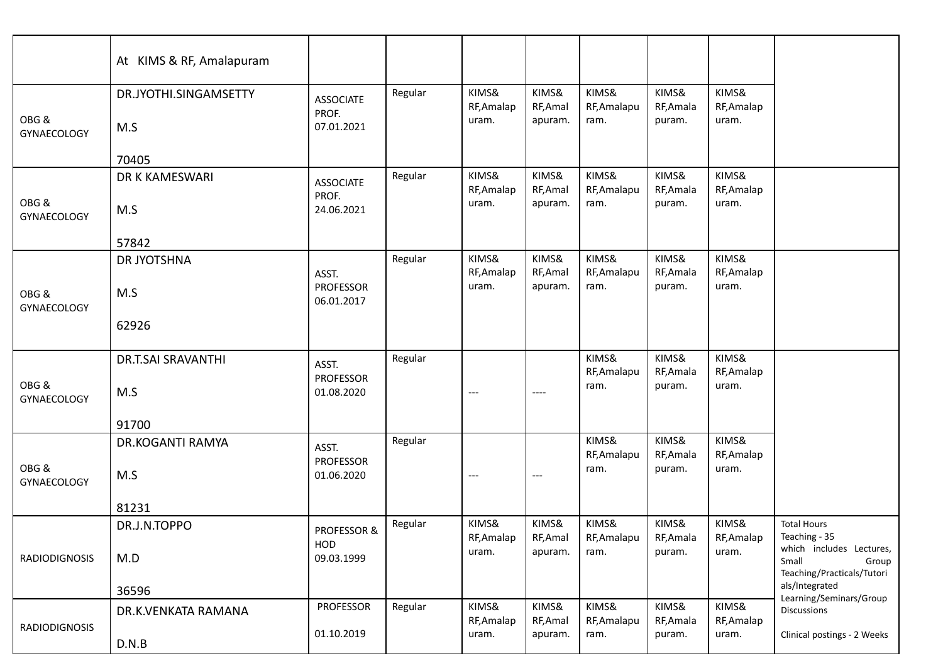|                            | At KIMS & RF, Amalapuram         |                                         |         |                              |                              |                              |                              |                              |                                                                                   |
|----------------------------|----------------------------------|-----------------------------------------|---------|------------------------------|------------------------------|------------------------------|------------------------------|------------------------------|-----------------------------------------------------------------------------------|
| OBG&<br><b>GYNAECOLOGY</b> | DR.JYOTHI.SINGAMSETTY<br>M.S     | <b>ASSOCIATE</b><br>PROF.<br>07.01.2021 | Regular | KIMS&<br>RF, Amalap<br>uram. | KIMS&<br>RF, Amal<br>apuram. | KIMS&<br>RF, Amalapu<br>ram. | KIMS&<br>RF, Amala<br>puram. | KIMS&<br>RF, Amalap<br>uram. |                                                                                   |
|                            | 70405                            |                                         |         |                              |                              |                              |                              |                              |                                                                                   |
| OBG&<br>GYNAECOLOGY        | DR K KAMESWARI<br>M.S            | <b>ASSOCIATE</b><br>PROF.<br>24.06.2021 | Regular | KIMS&<br>RF, Amalap<br>uram. | KIMS&<br>RF, Amal<br>apuram. | KIMS&<br>RF, Amalapu<br>ram. | KIMS&<br>RF, Amala<br>puram. | KIMS&<br>RF, Amalap<br>uram. |                                                                                   |
|                            | 57842                            |                                         |         |                              |                              |                              |                              |                              |                                                                                   |
| OBG&<br><b>GYNAECOLOGY</b> | DR JYOTSHNA<br>M.S               | ASST.<br><b>PROFESSOR</b><br>06.01.2017 | Regular | KIMS&<br>RF, Amalap<br>uram. | KIMS&<br>RF, Amal<br>apuram. | KIMS&<br>RF, Amalapu<br>ram. | KIMS&<br>RF, Amala<br>puram. | KIMS&<br>RF, Amalap<br>uram. |                                                                                   |
|                            | 62926                            |                                         |         |                              |                              |                              |                              |                              |                                                                                   |
| OBG&<br>GYNAECOLOGY        | <b>DR.T.SAI SRAVANTHI</b><br>M.S | ASST.<br><b>PROFESSOR</b><br>01.08.2020 | Regular | $---$                        | ----                         | KIMS&<br>RF, Amalapu<br>ram. | KIMS&<br>RF, Amala<br>puram. | KIMS&<br>RF, Amalap<br>uram. |                                                                                   |
|                            | 91700                            |                                         |         |                              |                              |                              |                              |                              |                                                                                   |
| OBG&<br><b>GYNAECOLOGY</b> | DR.KOGANTI RAMYA<br>M.S          | ASST.<br><b>PROFESSOR</b><br>01.06.2020 | Regular | $---$                        | $---$                        | KIMS&<br>RF, Amalapu<br>ram. | KIMS&<br>RF, Amala<br>puram. | KIMS&<br>RF, Amalap<br>uram. |                                                                                   |
|                            | 81231                            |                                         |         |                              |                              |                              |                              |                              |                                                                                   |
| RADIODIGNOSIS              | DR.J.N.TOPPO<br>M.D              | PROFESSOR &<br>HOD<br>09.03.1999        | Regular | KIMS&<br>RF, Amalap<br>uram. | KIMS&<br>RF, Amal<br>apuram. | KIMS&<br>RF, Amalapu<br>ram. | KIMS&<br>RF, Amala<br>puram. | KIMS&<br>RF, Amalap<br>uram. | <b>Total Hours</b><br>Teaching - 35<br>which includes Lectures,<br>Small<br>Group |
|                            | 36596                            |                                         |         |                              |                              |                              |                              |                              | Teaching/Practicals/Tutori<br>als/Integrated                                      |
| <b>RADIODIGNOSIS</b>       | DR.K.VENKATA RAMANA<br>D.N.B     | PROFESSOR<br>01.10.2019                 | Regular | KIMS&<br>RF, Amalap<br>uram. | KIMS&<br>RF, Amal<br>apuram. | KIMS&<br>RF, Amalapu<br>ram. | KIMS&<br>RF, Amala<br>puram. | KIMS&<br>RF, Amalap<br>uram. | Learning/Seminars/Group<br>Discussions<br>Clinical postings - 2 Weeks             |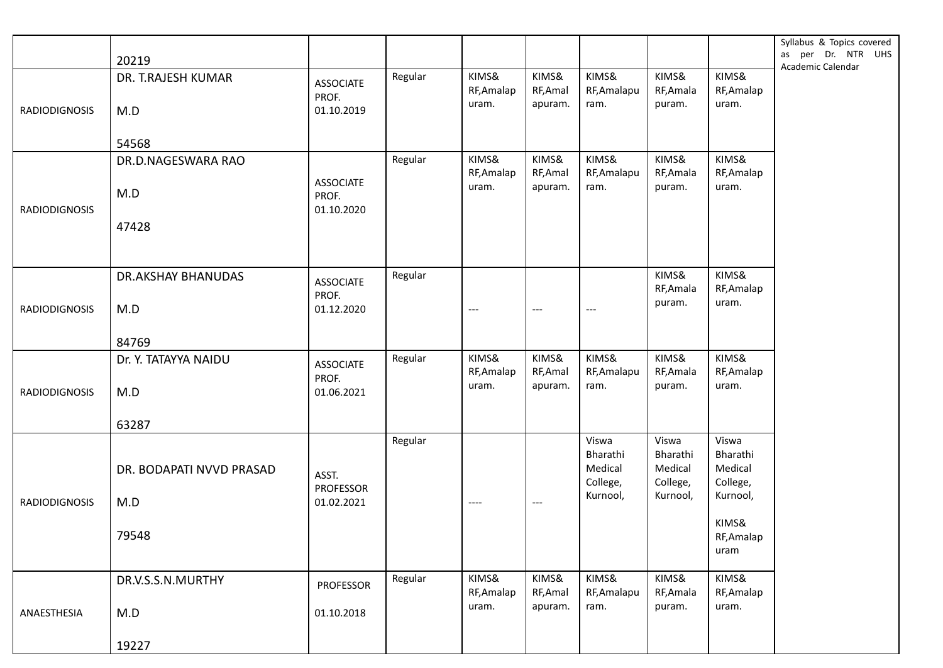|                      | 20219                     |                           |         |                     |                     |                      |                     |                     | Syllabus & Topics covered<br>as per Dr. NTR UHS<br>Academic Calendar |
|----------------------|---------------------------|---------------------------|---------|---------------------|---------------------|----------------------|---------------------|---------------------|----------------------------------------------------------------------|
|                      | DR. T.RAJESH KUMAR        | <b>ASSOCIATE</b><br>PROF. | Regular | KIMS&<br>RF, Amalap | KIMS&<br>RF, Amal   | KIMS&<br>RF, Amalapu | KIMS&<br>RF, Amala  | KIMS&<br>RF, Amalap |                                                                      |
| <b>RADIODIGNOSIS</b> | M.D                       | 01.10.2019                |         | uram.               | apuram.             | ram.                 | puram.              | uram.               |                                                                      |
|                      | 54568                     |                           |         |                     |                     |                      |                     |                     |                                                                      |
|                      | DR.D.NAGESWARA RAO        |                           | Regular | KIMS&               | KIMS&               | KIMS&                | KIMS&               | KIMS&               |                                                                      |
|                      |                           | <b>ASSOCIATE</b>          |         | RF, Amalap<br>uram. | RF, Amal<br>apuram. | RF, Amalapu<br>ram.  | RF, Amala<br>puram. | RF, Amalap<br>uram. |                                                                      |
|                      | M.D                       | PROF.                     |         |                     |                     |                      |                     |                     |                                                                      |
| <b>RADIODIGNOSIS</b> |                           | 01.10.2020                |         |                     |                     |                      |                     |                     |                                                                      |
|                      | 47428                     |                           |         |                     |                     |                      |                     |                     |                                                                      |
|                      | <b>DR.AKSHAY BHANUDAS</b> | <b>ASSOCIATE</b>          | Regular |                     |                     |                      | KIMS&               | KIMS&               |                                                                      |
|                      |                           | PROF.                     |         |                     |                     |                      | RF, Amala<br>puram. | RF, Amalap<br>uram. |                                                                      |
| <b>RADIODIGNOSIS</b> | M.D                       | 01.12.2020                |         | ---                 | $---$               | $---$                |                     |                     |                                                                      |
|                      | 84769                     |                           |         |                     |                     |                      |                     |                     |                                                                      |
|                      | Dr. Y. TATAYYA NAIDU      | <b>ASSOCIATE</b>          | Regular | KIMS&               | KIMS&               | KIMS&                | KIMS&               | KIMS&               |                                                                      |
|                      |                           | PROF.                     |         | RF, Amalap<br>uram. | RF, Amal<br>apuram. | RF, Amalapu<br>ram.  | RF, Amala<br>puram. | RF, Amalap<br>uram. |                                                                      |
| <b>RADIODIGNOSIS</b> | M.D                       | 01.06.2021                |         |                     |                     |                      |                     |                     |                                                                      |
|                      | 63287                     |                           |         |                     |                     |                      |                     |                     |                                                                      |
|                      |                           |                           | Regular |                     |                     | Viswa<br>Bharathi    | Viswa<br>Bharathi   | Viswa<br>Bharathi   |                                                                      |
|                      | DR. BODAPATI NVVD PRASAD  |                           |         |                     |                     | Medical              | Medical             | Medical             |                                                                      |
|                      |                           | ASST.<br><b>PROFESSOR</b> |         |                     |                     | College,             | College,            | College,            |                                                                      |
| <b>RADIODIGNOSIS</b> | M.D                       | 01.02.2021                |         | ----                | $---$               | Kurnool,             | Kurnool,            | Kurnool,            |                                                                      |
|                      |                           |                           |         |                     |                     |                      |                     | KIMS&               |                                                                      |
|                      | 79548                     |                           |         |                     |                     |                      |                     | RF, Amalap<br>uram  |                                                                      |
|                      | DR.V.S.S.N.MURTHY         | <b>PROFESSOR</b>          | Regular | KIMS&               | KIMS&               | KIMS&                | KIMS&               | KIMS&               |                                                                      |
|                      |                           |                           |         | RF, Amalap          | RF, Amal            | RF, Amalapu          | RF, Amala           | RF, Amalap          |                                                                      |
| ANAESTHESIA          | M.D                       | 01.10.2018                |         | uram.               | apuram.             | ram.                 | puram.              | uram.               |                                                                      |
|                      | 19227                     |                           |         |                     |                     |                      |                     |                     |                                                                      |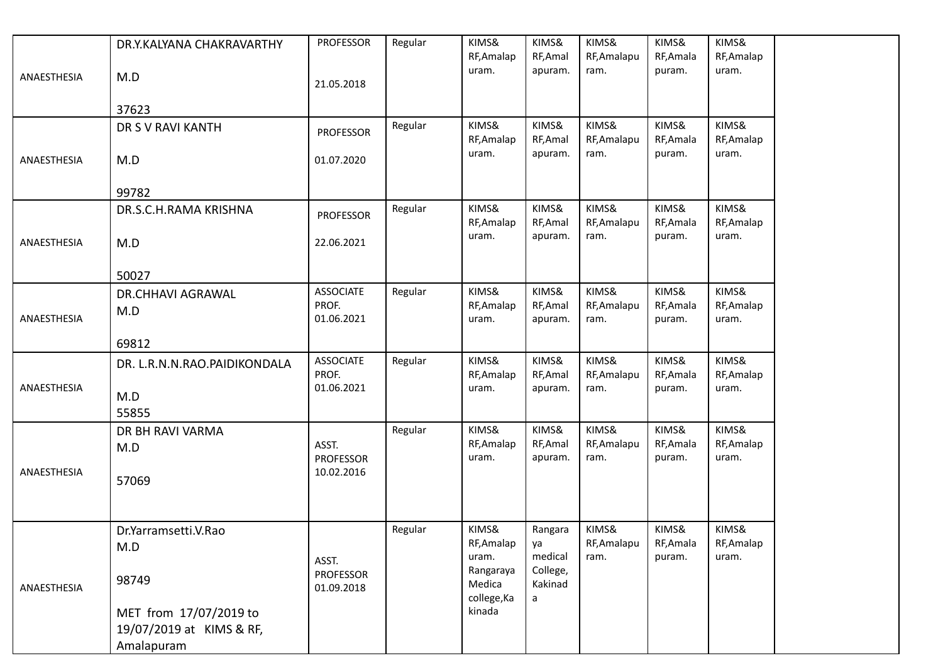|             | DR.Y.KALYANA CHAKRAVARTHY    | <b>PROFESSOR</b>                        | Regular | KIMS&<br>RF, Amalap          | KIMS&<br>RF, Amal   | KIMS&<br>RF, Amalapu | KIMS&<br>RF, Amala  | KIMS&<br>RF, Amalap |
|-------------|------------------------------|-----------------------------------------|---------|------------------------------|---------------------|----------------------|---------------------|---------------------|
| ANAESTHESIA | M.D                          | 21.05.2018                              |         | uram.                        | apuram.             | ram.                 | puram.              | uram.               |
|             | 37623                        |                                         |         |                              |                     |                      |                     |                     |
|             | DR S V RAVI KANTH            | <b>PROFESSOR</b>                        | Regular | KIMS&<br>RF, Amalap          | KIMS&<br>RF, Amal   | KIMS&<br>RF, Amalapu | KIMS&<br>RF, Amala  | KIMS&<br>RF, Amalap |
| ANAESTHESIA | M.D                          | 01.07.2020                              |         | uram.                        | apuram.             | ram.                 | puram.              | uram.               |
|             | 99782                        |                                         |         |                              |                     |                      |                     |                     |
|             | DR.S.C.H.RAMA KRISHNA        | <b>PROFESSOR</b>                        | Regular | KIMS&<br>RF, Amalap          | KIMS&<br>RF, Amal   | KIMS&<br>RF, Amalapu | KIMS&<br>RF, Amala  | KIMS&<br>RF, Amalap |
| ANAESTHESIA | M.D                          | 22.06.2021                              |         | uram.                        | apuram.             | ram.                 | puram.              | uram.               |
|             | 50027                        |                                         |         |                              |                     |                      |                     |                     |
|             | DR.CHHAVI AGRAWAL            | <b>ASSOCIATE</b>                        | Regular | KIMS&                        | KIMS&               | KIMS&                | KIMS&               | KIMS&               |
| ANAESTHESIA | M.D                          | PROF.<br>01.06.2021                     |         | RF, Amalap<br>uram.          | RF, Amal<br>apuram. | RF, Amalapu<br>ram.  | RF, Amala<br>puram. | RF, Amalap<br>uram. |
|             | 69812                        |                                         |         |                              |                     |                      |                     |                     |
|             | DR. L.R.N.N.RAO.PAIDIKONDALA | <b>ASSOCIATE</b><br>PROF.               | Regular | KIMS&<br>RF, Amalap          | KIMS&<br>RF, Amal   | KIMS&<br>RF, Amalapu | KIMS&<br>RF, Amala  | KIMS&<br>RF, Amalap |
| ANAESTHESIA | M.D                          | 01.06.2021                              |         | uram.                        | apuram.             | ram.                 | puram.              | uram.               |
|             | 55855                        |                                         |         |                              |                     |                      |                     |                     |
|             | DR BH RAVI VARMA             |                                         | Regular | KIMS&                        | KIMS&<br>RF, Amal   | KIMS&                | KIMS&<br>RF, Amala  | KIMS&               |
|             | M.D                          | ASST.<br><b>PROFESSOR</b>               |         | RF, Amalap<br>uram.          | apuram.             | RF, Amalapu<br>ram.  | puram.              | RF, Amalap<br>uram. |
| ANAESTHESIA | 57069                        | 10.02.2016                              |         |                              |                     |                      |                     |                     |
|             |                              |                                         |         |                              |                     |                      |                     |                     |
|             | Dr.Yarramsetti.V.Rao         |                                         | Regular | KIMS&                        | Rangara             | KIMS&                | KIMS&               | KIMS&               |
|             | M.D                          |                                         |         | RF, Amalap                   | ya<br>medical       | RF, Amalapu          | RF, Amala           | RF, Amalap          |
| ANAESTHESIA | 98749                        | ASST.<br><b>PROFESSOR</b><br>01.09.2018 |         | uram.<br>Rangaraya<br>Medica | College,<br>Kakinad | ram.                 | puram.              | uram.               |
|             | MET from 17/07/2019 to       |                                         |         | college, Ka<br>kinada        | a                   |                      |                     |                     |
|             | 19/07/2019 at KIMS & RF,     |                                         |         |                              |                     |                      |                     |                     |
|             | Amalapuram                   |                                         |         |                              |                     |                      |                     |                     |